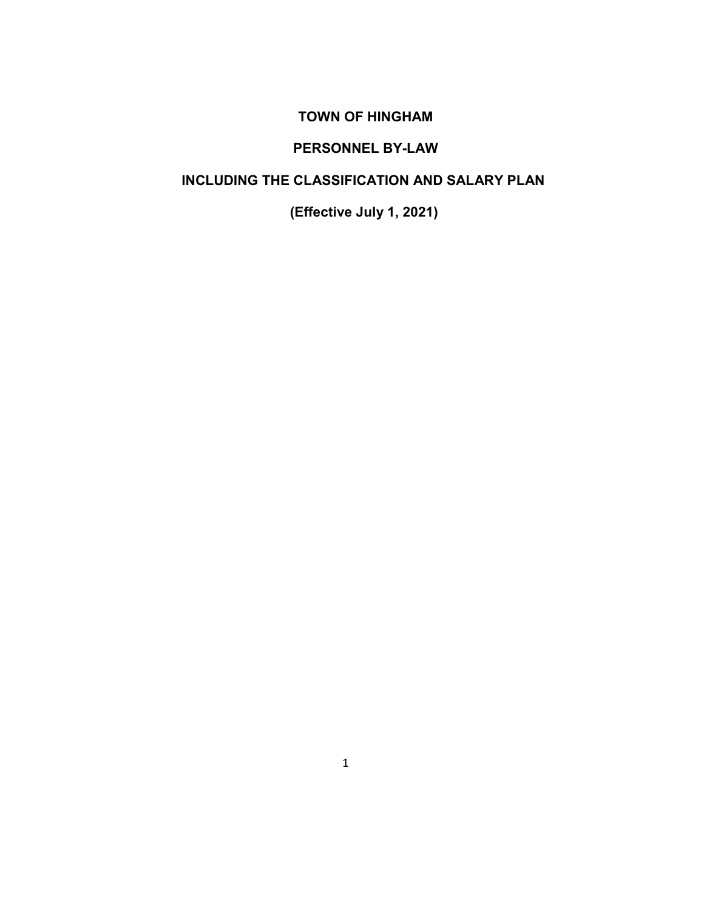## **TOWN OF HINGHAM**

# **PERSONNEL BY-LAW**

# **INCLUDING THE CLASSIFICATION AND SALARY PLAN**

**(Effective July 1, 2021)**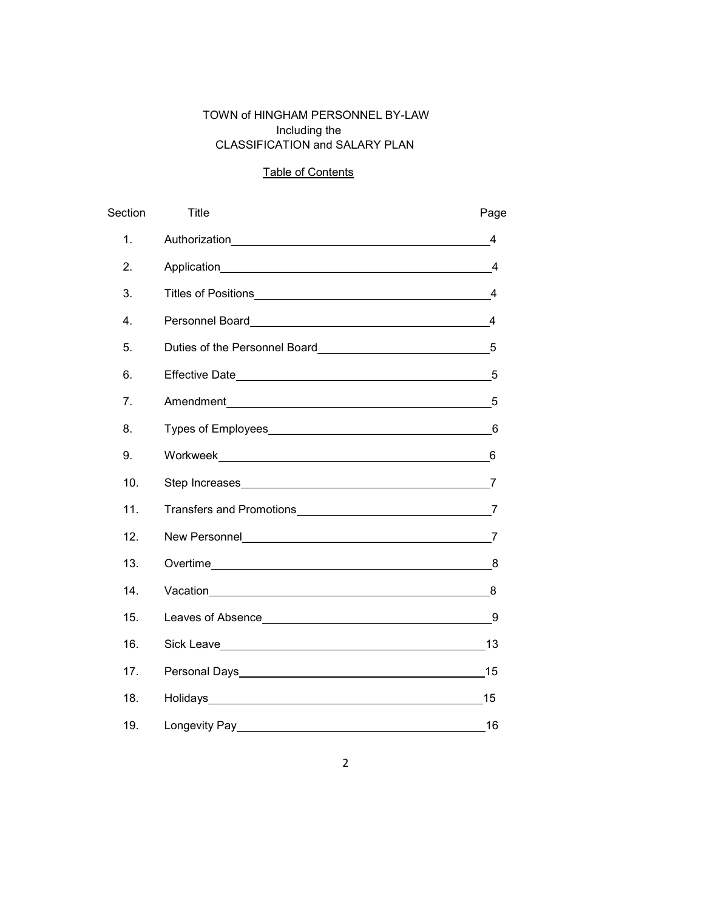## TOWN of HINGHAM PERSONNEL BY-LAW Including the CLASSIFICATION and SALARY PLAN

## Table of Contents

| Section          | Title                      | Page           |
|------------------|----------------------------|----------------|
| 1.               |                            | 4              |
| 2.               |                            | $\overline{4}$ |
| 3.               | Titles of Positions 4      |                |
| $\overline{4}$ . |                            | $\overline{4}$ |
| 5.               |                            | 5              |
| 6.               |                            | 5              |
| 7 <sub>1</sub>   | Amendment 5                |                |
| 8.               |                            |                |
| 9.               | Workweek 6                 |                |
| 10.              | Step Increases 7           |                |
| 11.              | Transfers and Promotions 7 |                |
| 12 <sub>1</sub>  |                            |                |
| 13.              |                            |                |
| 14.              |                            |                |
| 15.              |                            |                |
| 16.              |                            | 13             |
| 17.              |                            | 15             |
| 18.              |                            | 15             |
| 19.              |                            | 16             |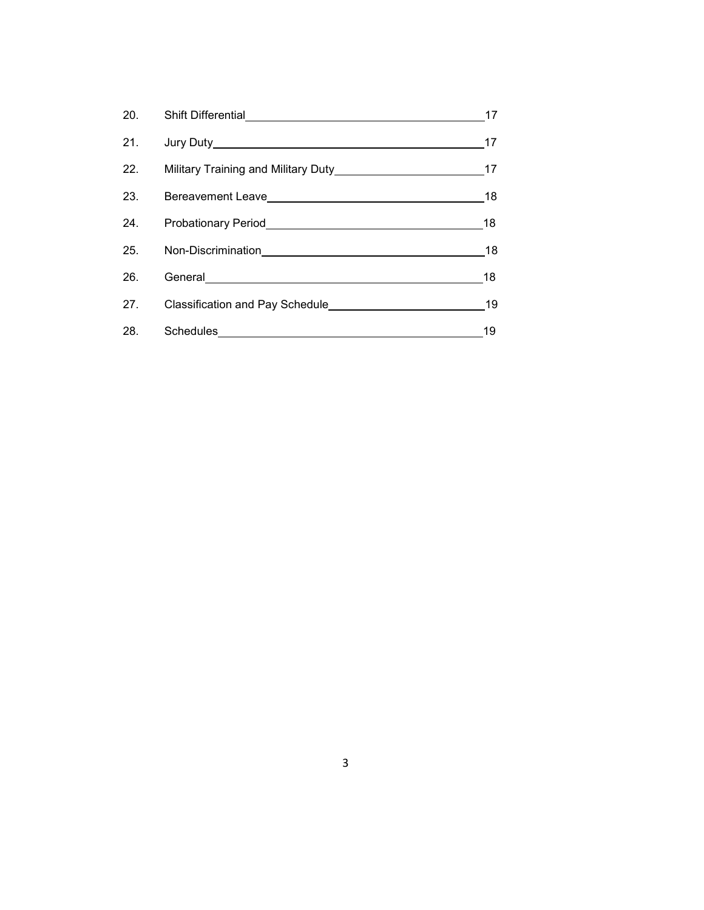|     |                                                                                                                                                                                                                                | 17   |
|-----|--------------------------------------------------------------------------------------------------------------------------------------------------------------------------------------------------------------------------------|------|
|     |                                                                                                                                                                                                                                | 17   |
|     |                                                                                                                                                                                                                                |      |
| 23. |                                                                                                                                                                                                                                | 18   |
|     | 24. Probationary Period <b>Probationary Period</b> 24.                                                                                                                                                                         | - 18 |
|     |                                                                                                                                                                                                                                | 18   |
| 26. | General experiments and the contract of the contract of the contract of the contract of the contract of the contract of the contract of the contract of the contract of the contract of the contract of the contract of the co | 18   |
| 27. | Classification and Pay Schedule 19                                                                                                                                                                                             |      |
| 28. |                                                                                                                                                                                                                                | 19   |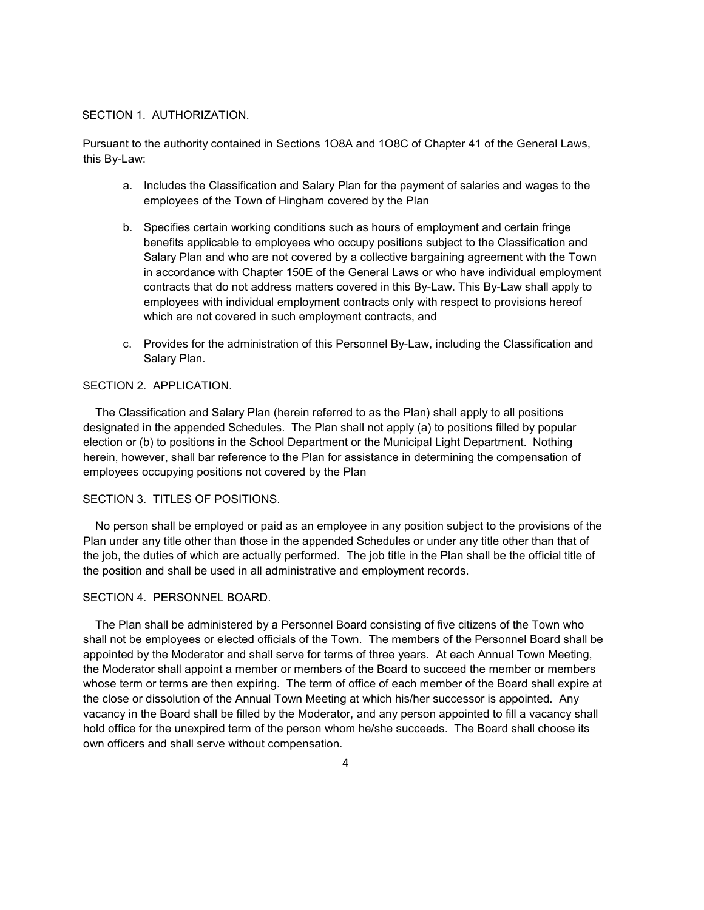### SECTION 1. AUTHORIZATION.

Pursuant to the authority contained in Sections 1O8A and 1O8C of Chapter 41 of the General Laws, this By-Law:

- a. Includes the Classification and Salary Plan for the payment of salaries and wages to the employees of the Town of Hingham covered by the Plan
- b. Specifies certain working conditions such as hours of employment and certain fringe benefits applicable to employees who occupy positions subject to the Classification and Salary Plan and who are not covered by a collective bargaining agreement with the Town in accordance with Chapter 150E of the General Laws or who have individual employment contracts that do not address matters covered in this By-Law. This By-Law shall apply to employees with individual employment contracts only with respect to provisions hereof which are not covered in such employment contracts, and
- c. Provides for the administration of this Personnel By-Law, including the Classification and Salary Plan.

## SECTION 2. APPLICATION.

 The Classification and Salary Plan (herein referred to as the Plan) shall apply to all positions designated in the appended Schedules. The Plan shall not apply (a) to positions filled by popular election or (b) to positions in the School Department or the Municipal Light Department. Nothing herein, however, shall bar reference to the Plan for assistance in determining the compensation of employees occupying positions not covered by the Plan

### SECTION 3. TITLES OF POSITIONS.

 No person shall be employed or paid as an employee in any position subject to the provisions of the Plan under any title other than those in the appended Schedules or under any title other than that of the job, the duties of which are actually performed. The job title in the Plan shall be the official title of the position and shall be used in all administrative and employment records.

#### SECTION 4. PERSONNEL BOARD.

 The Plan shall be administered by a Personnel Board consisting of five citizens of the Town who shall not be employees or elected officials of the Town. The members of the Personnel Board shall be appointed by the Moderator and shall serve for terms of three years. At each Annual Town Meeting, the Moderator shall appoint a member or members of the Board to succeed the member or members whose term or terms are then expiring. The term of office of each member of the Board shall expire at the close or dissolution of the Annual Town Meeting at which his/her successor is appointed. Any vacancy in the Board shall be filled by the Moderator, and any person appointed to fill a vacancy shall hold office for the unexpired term of the person whom he/she succeeds. The Board shall choose its own officers and shall serve without compensation.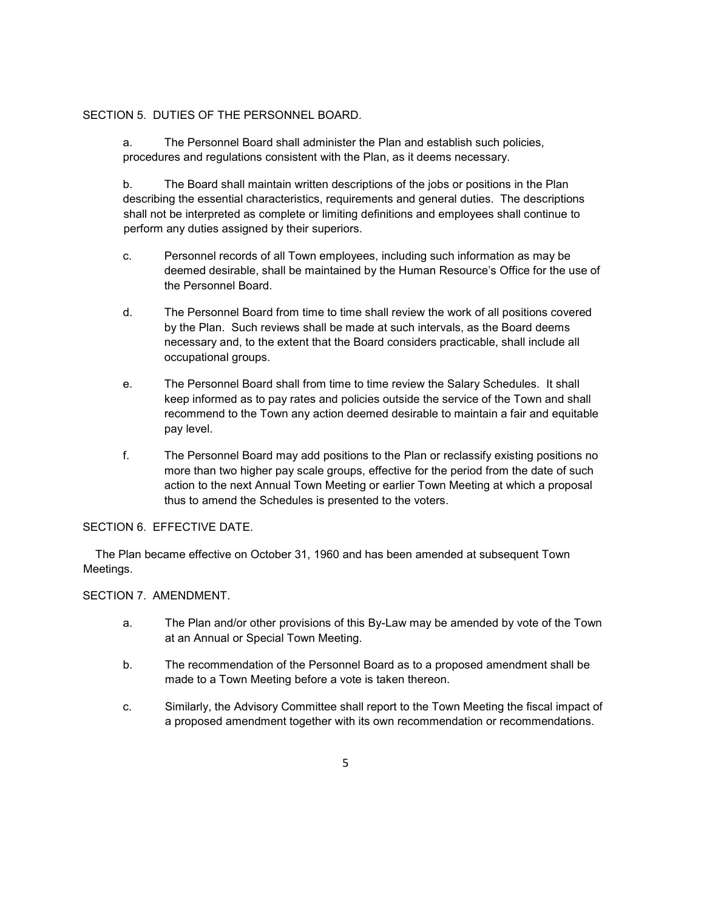#### SECTION 5. DUTIES OF THE PERSONNEL BOARD.

a. The Personnel Board shall administer the Plan and establish such policies, procedures and regulations consistent with the Plan, as it deems necessary.

b. The Board shall maintain written descriptions of the jobs or positions in the Plan describing the essential characteristics, requirements and general duties. The descriptions shall not be interpreted as complete or limiting definitions and employees shall continue to perform any duties assigned by their superiors.

- c. Personnel records of all Town employees, including such information as may be deemed desirable, shall be maintained by the Human Resource's Office for the use of the Personnel Board.
- d. The Personnel Board from time to time shall review the work of all positions covered by the Plan. Such reviews shall be made at such intervals, as the Board deems necessary and, to the extent that the Board considers practicable, shall include all occupational groups.
- e. The Personnel Board shall from time to time review the Salary Schedules. It shall keep informed as to pay rates and policies outside the service of the Town and shall recommend to the Town any action deemed desirable to maintain a fair and equitable pay level.
- f. The Personnel Board may add positions to the Plan or reclassify existing positions no more than two higher pay scale groups, effective for the period from the date of such action to the next Annual Town Meeting or earlier Town Meeting at which a proposal thus to amend the Schedules is presented to the voters.

### SECTION 6. EFFECTIVE DATE.

 The Plan became effective on October 31, 1960 and has been amended at subsequent Town Meetings.

#### SECTION 7. AMENDMENT.

- a. The Plan and/or other provisions of this By-Law may be amended by vote of the Town at an Annual or Special Town Meeting.
- b. The recommendation of the Personnel Board as to a proposed amendment shall be made to a Town Meeting before a vote is taken thereon.
- c. Similarly, the Advisory Committee shall report to the Town Meeting the fiscal impact of a proposed amendment together with its own recommendation or recommendations.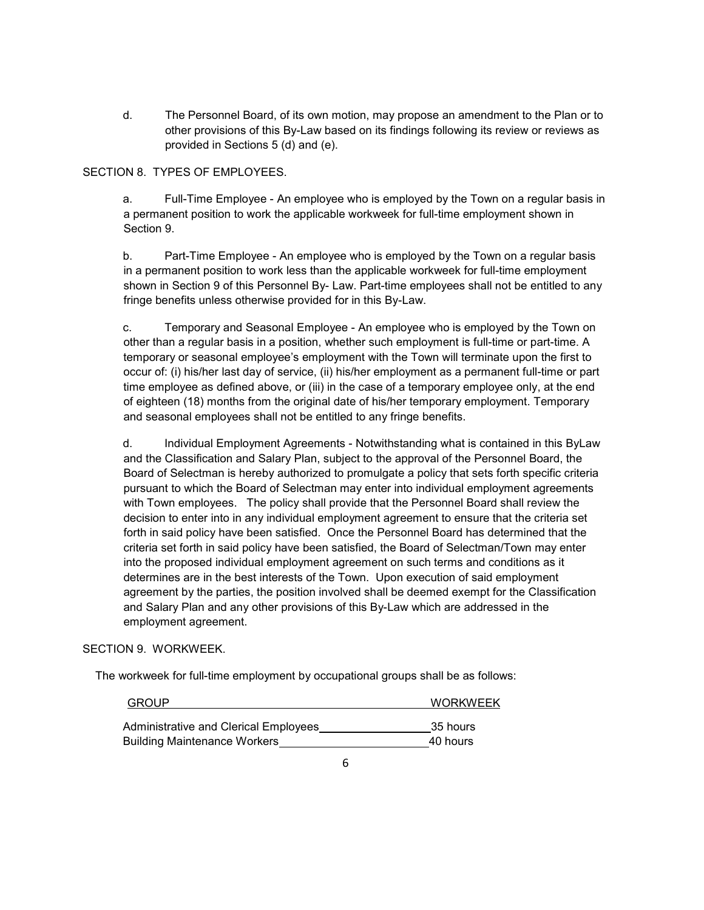d. The Personnel Board, of its own motion, may propose an amendment to the Plan or to other provisions of this By-Law based on its findings following its review or reviews as provided in Sections 5 (d) and (e).

SECTION 8. TYPES OF EMPLOYEES.

a. Full-Time Employee - An employee who is employed by the Town on a regular basis in a permanent position to work the applicable workweek for full-time employment shown in Section 9.

b. Part-Time Employee - An employee who is employed by the Town on a regular basis in a permanent position to work less than the applicable workweek for full-time employment shown in Section 9 of this Personnel By- Law. Part-time employees shall not be entitled to any fringe benefits unless otherwise provided for in this By-Law.

c. Temporary and Seasonal Employee - An employee who is employed by the Town on other than a regular basis in a position, whether such employment is full-time or part-time. A temporary or seasonal employee's employment with the Town will terminate upon the first to occur of: (i) his/her last day of service, (ii) his/her employment as a permanent full-time or part time employee as defined above, or (iii) in the case of a temporary employee only, at the end of eighteen (18) months from the original date of his/her temporary employment. Temporary and seasonal employees shall not be entitled to any fringe benefits.

d. Individual Employment Agreements - Notwithstanding what is contained in this ByLaw and the Classification and Salary Plan, subject to the approval of the Personnel Board, the Board of Selectman is hereby authorized to promulgate a policy that sets forth specific criteria pursuant to which the Board of Selectman may enter into individual employment agreements with Town employees. The policy shall provide that the Personnel Board shall review the decision to enter into in any individual employment agreement to ensure that the criteria set forth in said policy have been satisfied. Once the Personnel Board has determined that the criteria set forth in said policy have been satisfied, the Board of Selectman/Town may enter into the proposed individual employment agreement on such terms and conditions as it determines are in the best interests of the Town. Upon execution of said employment agreement by the parties, the position involved shall be deemed exempt for the Classification and Salary Plan and any other provisions of this By-Law which are addressed in the employment agreement.

#### SECTION 9. WORKWEEK.

The workweek for full-time employment by occupational groups shall be as follows:

| <b>GROUP</b>                          | <b>WORKWEEK</b> |
|---------------------------------------|-----------------|
| Administrative and Clerical Employees | 35 hours        |
| <b>Building Maintenance Workers</b>   | 40 hours        |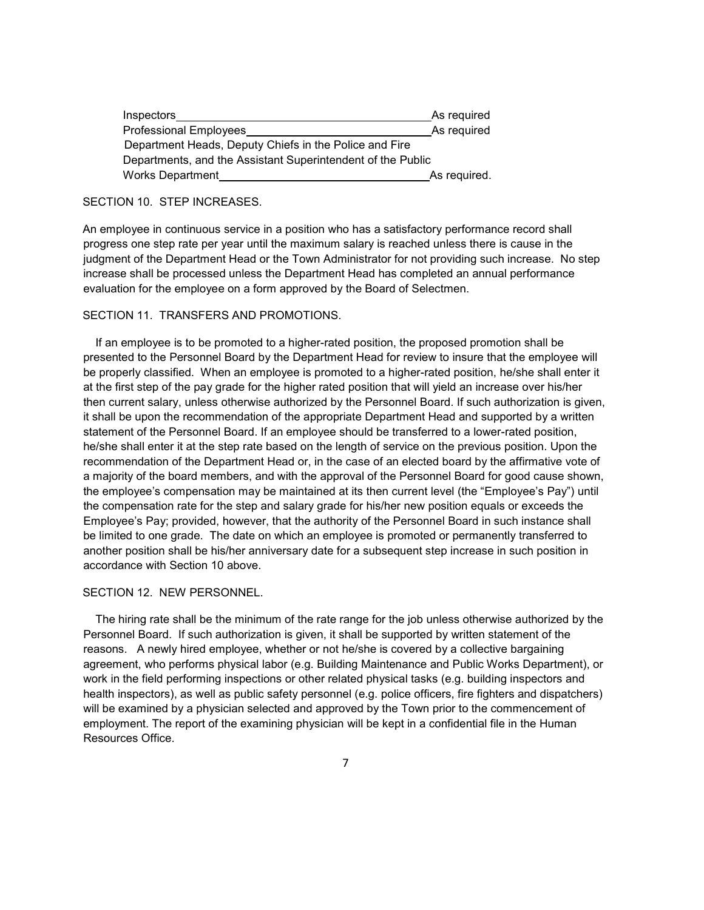| Inspectors                                                  | As required  |
|-------------------------------------------------------------|--------------|
| <b>Professional Employees</b>                               | As required  |
| Department Heads, Deputy Chiefs in the Police and Fire      |              |
| Departments, and the Assistant Superintendent of the Public |              |
| Works Department                                            | As required. |

### SECTION 10. STEP INCREASES.

An employee in continuous service in a position who has a satisfactory performance record shall progress one step rate per year until the maximum salary is reached unless there is cause in the judgment of the Department Head or the Town Administrator for not providing such increase. No step increase shall be processed unless the Department Head has completed an annual performance evaluation for the employee on a form approved by the Board of Selectmen.

### SECTION 11. TRANSFERS AND PROMOTIONS.

 If an employee is to be promoted to a higher-rated position, the proposed promotion shall be presented to the Personnel Board by the Department Head for review to insure that the employee will be properly classified. When an employee is promoted to a higher-rated position, he/she shall enter it at the first step of the pay grade for the higher rated position that will yield an increase over his/her then current salary, unless otherwise authorized by the Personnel Board. If such authorization is given, it shall be upon the recommendation of the appropriate Department Head and supported by a written statement of the Personnel Board. If an employee should be transferred to a lower-rated position, he/she shall enter it at the step rate based on the length of service on the previous position. Upon the recommendation of the Department Head or, in the case of an elected board by the affirmative vote of a majority of the board members, and with the approval of the Personnel Board for good cause shown, the employee's compensation may be maintained at its then current level (the "Employee's Pay") until the compensation rate for the step and salary grade for his/her new position equals or exceeds the Employee's Pay; provided, however, that the authority of the Personnel Board in such instance shall be limited to one grade. The date on which an employee is promoted or permanently transferred to another position shall be his/her anniversary date for a subsequent step increase in such position in accordance with Section 10 above.

#### SECTION 12. NEW PERSONNEL.

 The hiring rate shall be the minimum of the rate range for the job unless otherwise authorized by the Personnel Board. If such authorization is given, it shall be supported by written statement of the reasons. A newly hired employee, whether or not he/she is covered by a collective bargaining agreement, who performs physical labor (e.g. Building Maintenance and Public Works Department), or work in the field performing inspections or other related physical tasks (e.g. building inspectors and health inspectors), as well as public safety personnel (e.g. police officers, fire fighters and dispatchers) will be examined by a physician selected and approved by the Town prior to the commencement of employment. The report of the examining physician will be kept in a confidential file in the Human Resources Office.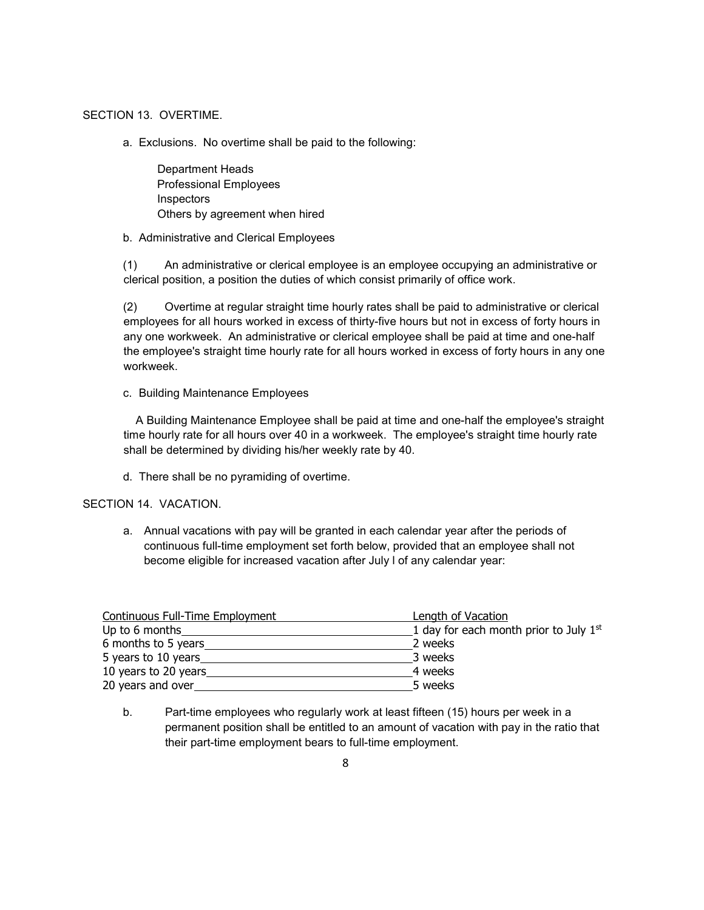#### SECTION 13. OVERTIME.

a. Exclusions. No overtime shall be paid to the following:

 Department Heads Professional Employees Inspectors Others by agreement when hired

b. Administrative and Clerical Employees

(1) An administrative or clerical employee is an employee occupying an administrative or clerical position, a position the duties of which consist primarily of office work.

(2) Overtime at regular straight time hourly rates shall be paid to administrative or clerical employees for all hours worked in excess of thirty-five hours but not in excess of forty hours in any one workweek. An administrative or clerical employee shall be paid at time and one-half the employee's straight time hourly rate for all hours worked in excess of forty hours in any one workweek.

c. Building Maintenance Employees

 A Building Maintenance Employee shall be paid at time and one-half the employee's straight time hourly rate for all hours over 40 in a workweek. The employee's straight time hourly rate shall be determined by dividing his/her weekly rate by 40.

d. There shall be no pyramiding of overtime.

SECTION 14. VACATION.

a. Annual vacations with pay will be granted in each calendar year after the periods of continuous full-time employment set forth below, provided that an employee shall not become eligible for increased vacation after July l of any calendar year:

| <b>Continuous Full-Time Employment</b> | Length of Vacation                       |
|----------------------------------------|------------------------------------------|
| Up to 6 months                         | 1 day for each month prior to July $1st$ |
| 6 months to 5 years                    | 2 weeks                                  |
| 5 years to 10 years                    | 3 weeks                                  |
| 10 years to 20 years                   | 4 weeks                                  |
| 20 years and over                      | 5 weeks                                  |

b. Part-time employees who regularly work at least fifteen (15) hours per week in a permanent position shall be entitled to an amount of vacation with pay in the ratio that their part-time employment bears to full-time employment.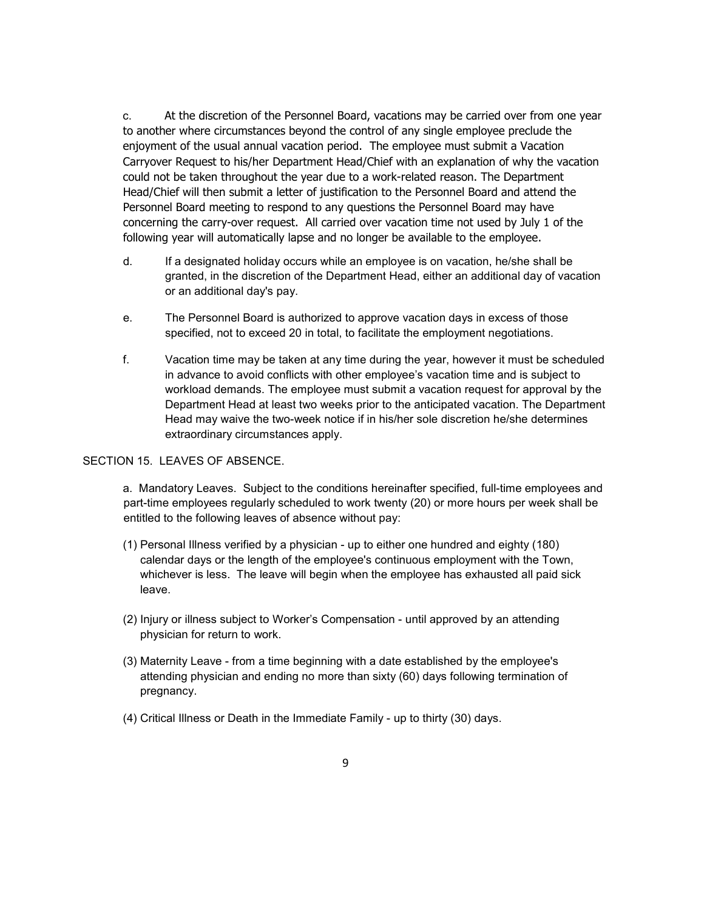c. At the discretion of the Personnel Board, vacations may be carried over from one year to another where circumstances beyond the control of any single employee preclude the enjoyment of the usual annual vacation period. The employee must submit a Vacation Carryover Request to his/her Department Head/Chief with an explanation of why the vacation could not be taken throughout the year due to a work-related reason. The Department Head/Chief will then submit a letter of justification to the Personnel Board and attend the Personnel Board meeting to respond to any questions the Personnel Board may have concerning the carry-over request. All carried over vacation time not used by July 1 of the following year will automatically lapse and no longer be available to the employee.

- d. If a designated holiday occurs while an employee is on vacation, he/she shall be granted, in the discretion of the Department Head, either an additional day of vacation or an additional day's pay.
- e. The Personnel Board is authorized to approve vacation days in excess of those specified, not to exceed 20 in total, to facilitate the employment negotiations.
- f. Vacation time may be taken at any time during the year, however it must be scheduled in advance to avoid conflicts with other employee's vacation time and is subject to workload demands. The employee must submit a vacation request for approval by the Department Head at least two weeks prior to the anticipated vacation. The Department Head may waive the two-week notice if in his/her sole discretion he/she determines extraordinary circumstances apply.

### SECTION 15. LEAVES OF ABSENCE.

a. Mandatory Leaves. Subject to the conditions hereinafter specified, full-time employees and part-time employees regularly scheduled to work twenty (20) or more hours per week shall be entitled to the following leaves of absence without pay:

- (1) Personal Illness verified by a physician up to either one hundred and eighty (180) calendar days or the length of the employee's continuous employment with the Town, whichever is less. The leave will begin when the employee has exhausted all paid sick leave.
- (2) Injury or illness subject to Worker's Compensation until approved by an attending physician for return to work.
- (3) Maternity Leave from a time beginning with a date established by the employee's attending physician and ending no more than sixty (60) days following termination of pregnancy.
- (4) Critical Illness or Death in the Immediate Family up to thirty (30) days.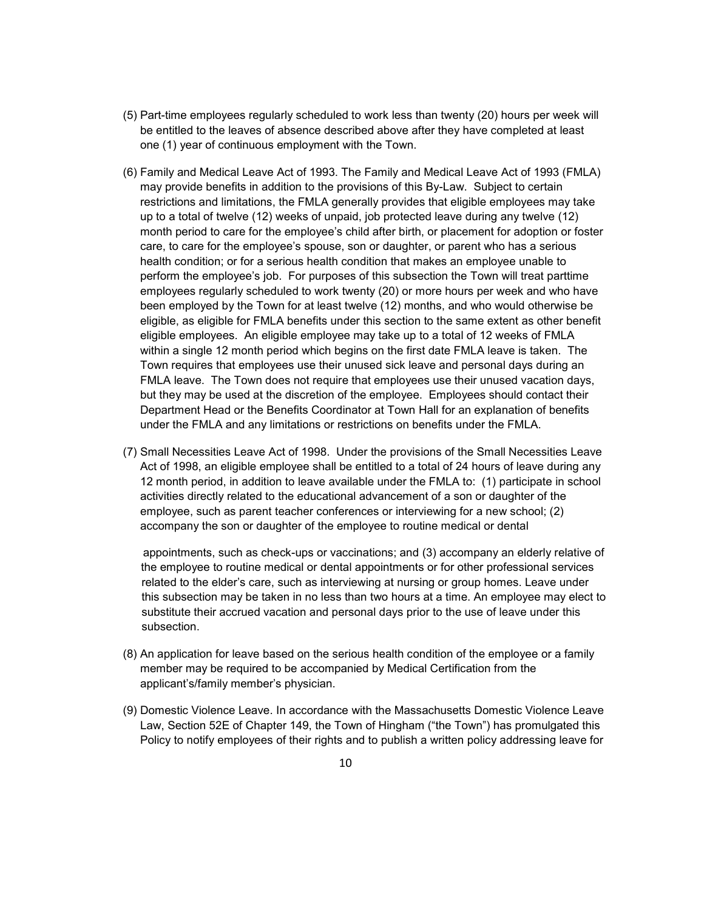- (5) Part-time employees regularly scheduled to work less than twenty (20) hours per week will be entitled to the leaves of absence described above after they have completed at least one (1) year of continuous employment with the Town.
- (6) Family and Medical Leave Act of 1993. The Family and Medical Leave Act of 1993 (FMLA) may provide benefits in addition to the provisions of this By-Law. Subject to certain restrictions and limitations, the FMLA generally provides that eligible employees may take up to a total of twelve (12) weeks of unpaid, job protected leave during any twelve (12) month period to care for the employee's child after birth, or placement for adoption or foster care, to care for the employee's spouse, son or daughter, or parent who has a serious health condition; or for a serious health condition that makes an employee unable to perform the employee's job. For purposes of this subsection the Town will treat parttime employees regularly scheduled to work twenty (20) or more hours per week and who have been employed by the Town for at least twelve (12) months, and who would otherwise be eligible, as eligible for FMLA benefits under this section to the same extent as other benefit eligible employees. An eligible employee may take up to a total of 12 weeks of FMLA within a single 12 month period which begins on the first date FMLA leave is taken. The Town requires that employees use their unused sick leave and personal days during an FMLA leave. The Town does not require that employees use their unused vacation days, but they may be used at the discretion of the employee. Employees should contact their Department Head or the Benefits Coordinator at Town Hall for an explanation of benefits under the FMLA and any limitations or restrictions on benefits under the FMLA.
- (7) Small Necessities Leave Act of 1998. Under the provisions of the Small Necessities Leave Act of 1998, an eligible employee shall be entitled to a total of 24 hours of leave during any 12 month period, in addition to leave available under the FMLA to: (1) participate in school activities directly related to the educational advancement of a son or daughter of the employee, such as parent teacher conferences or interviewing for a new school; (2) accompany the son or daughter of the employee to routine medical or dental

appointments, such as check-ups or vaccinations; and (3) accompany an elderly relative of the employee to routine medical or dental appointments or for other professional services related to the elder's care, such as interviewing at nursing or group homes. Leave under this subsection may be taken in no less than two hours at a time. An employee may elect to substitute their accrued vacation and personal days prior to the use of leave under this subsection.

- (8) An application for leave based on the serious health condition of the employee or a family member may be required to be accompanied by Medical Certification from the applicant's/family member's physician.
- (9) Domestic Violence Leave. In accordance with the Massachusetts Domestic Violence Leave Law, Section 52E of Chapter 149, the Town of Hingham ("the Town") has promulgated this Policy to notify employees of their rights and to publish a written policy addressing leave for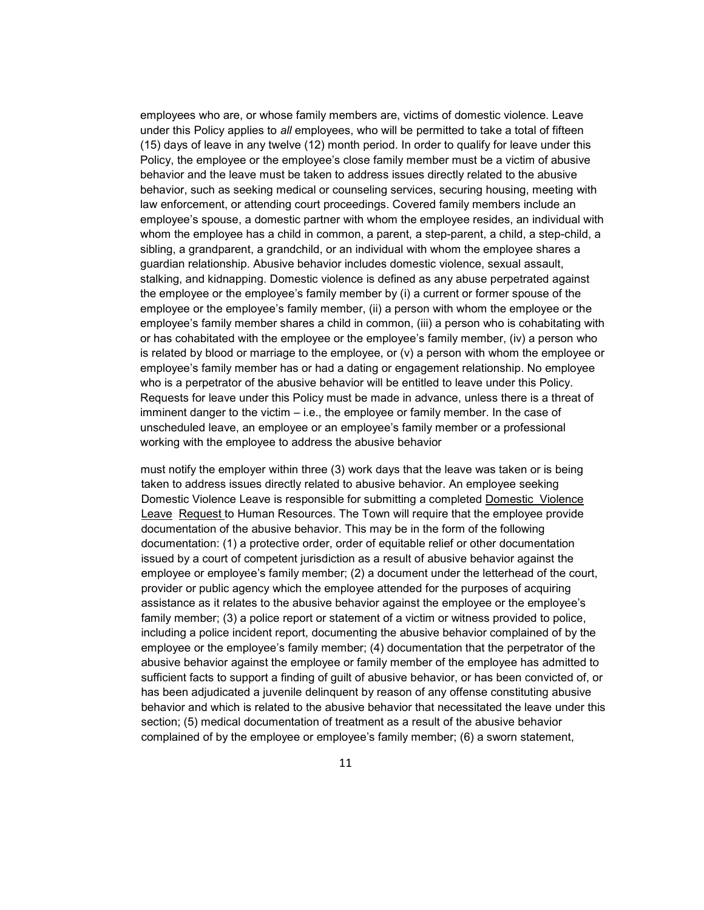employees who are, or whose family members are, victims of domestic violence. Leave under this Policy applies to *all* employees, who will be permitted to take a total of fifteen (15) days of leave in any twelve (12) month period. In order to qualify for leave under this Policy, the employee or the employee's close family member must be a victim of abusive behavior and the leave must be taken to address issues directly related to the abusive behavior, such as seeking medical or counseling services, securing housing, meeting with law enforcement, or attending court proceedings. Covered family members include an employee's spouse, a domestic partner with whom the employee resides, an individual with whom the employee has a child in common, a parent, a step-parent, a child, a step-child, a sibling, a grandparent, a grandchild, or an individual with whom the employee shares a guardian relationship. Abusive behavior includes domestic violence, sexual assault, stalking, and kidnapping. Domestic violence is defined as any abuse perpetrated against the employee or the employee's family member by (i) a current or former spouse of the employee or the employee's family member, (ii) a person with whom the employee or the employee's family member shares a child in common, (iii) a person who is cohabitating with or has cohabitated with the employee or the employee's family member, (iv) a person who is related by blood or marriage to the employee, or (v) a person with whom the employee or employee's family member has or had a dating or engagement relationship. No employee who is a perpetrator of the abusive behavior will be entitled to leave under this Policy. Requests for leave under this Policy must be made in advance, unless there is a threat of imminent danger to the victim  $-$  i.e., the employee or family member. In the case of unscheduled leave, an employee or an employee's family member or a professional working with the employee to address the abusive behavior

must notify the employer within three (3) work days that the leave was taken or is being taken to address issues directly related to abusive behavior. An employee seeking Domestic Violence Leave is responsible for submitting a completed Domestic Violence Leave Request to Human Resources. The Town will require that the employee provide documentation of the abusive behavior. This may be in the form of the following documentation: (1) a protective order, order of equitable relief or other documentation issued by a court of competent jurisdiction as a result of abusive behavior against the employee or employee's family member; (2) a document under the letterhead of the court, provider or public agency which the employee attended for the purposes of acquiring assistance as it relates to the abusive behavior against the employee or the employee's family member; (3) a police report or statement of a victim or witness provided to police, including a police incident report, documenting the abusive behavior complained of by the employee or the employee's family member; (4) documentation that the perpetrator of the abusive behavior against the employee or family member of the employee has admitted to sufficient facts to support a finding of guilt of abusive behavior, or has been convicted of, or has been adjudicated a juvenile delinquent by reason of any offense constituting abusive behavior and which is related to the abusive behavior that necessitated the leave under this section; (5) medical documentation of treatment as a result of the abusive behavior complained of by the employee or employee's family member; (6) a sworn statement,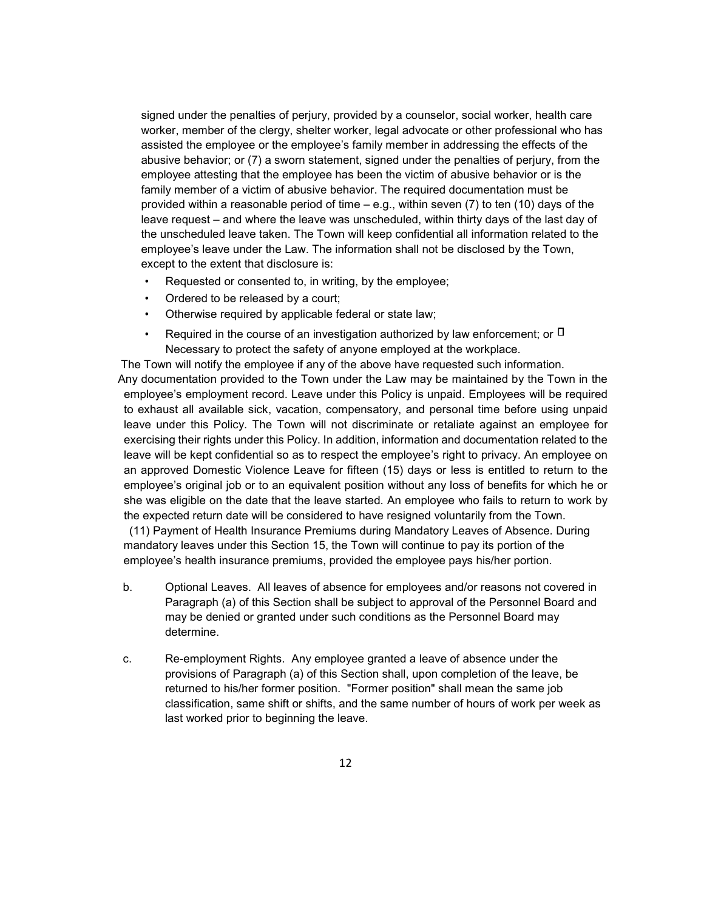signed under the penalties of perjury, provided by a counselor, social worker, health care worker, member of the clergy, shelter worker, legal advocate or other professional who has assisted the employee or the employee's family member in addressing the effects of the abusive behavior; or (7) a sworn statement, signed under the penalties of perjury, from the employee attesting that the employee has been the victim of abusive behavior or is the family member of a victim of abusive behavior. The required documentation must be provided within a reasonable period of time  $-$  e.g., within seven (7) to ten (10) days of the leave request – and where the leave was unscheduled, within thirty days of the last day of the unscheduled leave taken. The Town will keep confidential all information related to the employee's leave under the Law. The information shall not be disclosed by the Town, except to the extent that disclosure is:

- Requested or consented to, in writing, by the employee;
- Ordered to be released by a court;
- Otherwise required by applicable federal or state law;
- Required in the course of an investigation authorized by law enforcement; or  $\Box$ Necessary to protect the safety of anyone employed at the workplace.

 The Town will notify the employee if any of the above have requested such information. Any documentation provided to the Town under the Law may be maintained by the Town in the employee's employment record. Leave under this Policy is unpaid. Employees will be required to exhaust all available sick, vacation, compensatory, and personal time before using unpaid leave under this Policy. The Town will not discriminate or retaliate against an employee for exercising their rights under this Policy. In addition, information and documentation related to the leave will be kept confidential so as to respect the employee's right to privacy. An employee on an approved Domestic Violence Leave for fifteen (15) days or less is entitled to return to the employee's original job or to an equivalent position without any loss of benefits for which he or she was eligible on the date that the leave started. An employee who fails to return to work by the expected return date will be considered to have resigned voluntarily from the Town.

 (11) Payment of Health Insurance Premiums during Mandatory Leaves of Absence. During mandatory leaves under this Section 15, the Town will continue to pay its portion of the employee's health insurance premiums, provided the employee pays his/her portion.

- b. Optional Leaves. All leaves of absence for employees and/or reasons not covered in Paragraph (a) of this Section shall be subject to approval of the Personnel Board and may be denied or granted under such conditions as the Personnel Board may determine.
- c. Re-employment Rights. Any employee granted a leave of absence under the provisions of Paragraph (a) of this Section shall, upon completion of the leave, be returned to his/her former position. "Former position" shall mean the same job classification, same shift or shifts, and the same number of hours of work per week as last worked prior to beginning the leave.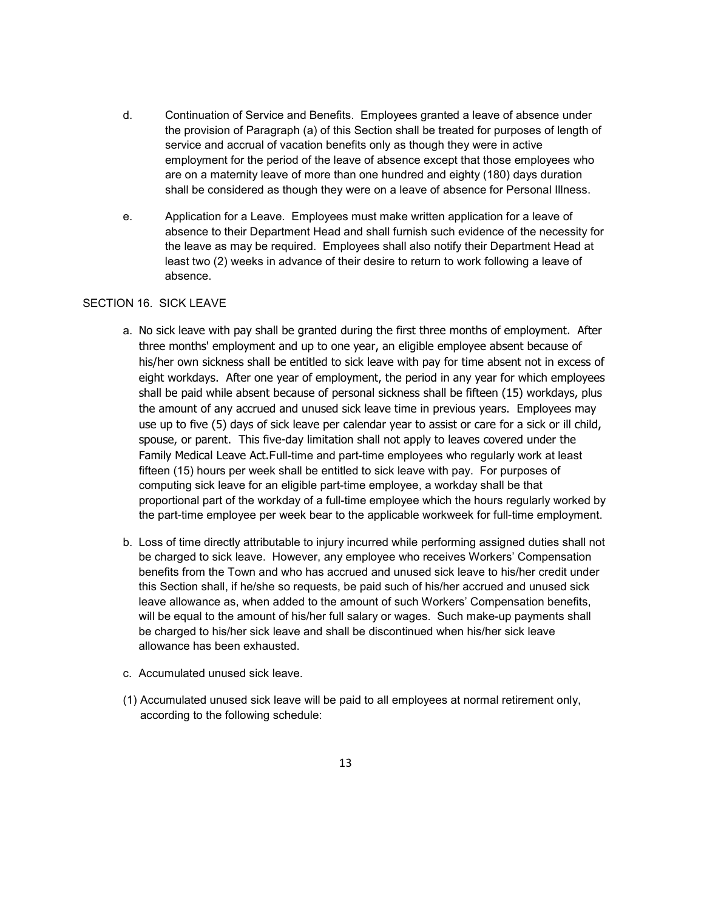- d. Continuation of Service and Benefits. Employees granted a leave of absence under the provision of Paragraph (a) of this Section shall be treated for purposes of length of service and accrual of vacation benefits only as though they were in active employment for the period of the leave of absence except that those employees who are on a maternity leave of more than one hundred and eighty (180) days duration shall be considered as though they were on a leave of absence for Personal Illness.
- e. Application for a Leave. Employees must make written application for a leave of absence to their Department Head and shall furnish such evidence of the necessity for the leave as may be required. Employees shall also notify their Department Head at least two (2) weeks in advance of their desire to return to work following a leave of absence.

### SECTION 16. SICK LEAVE

- a. No sick leave with pay shall be granted during the first three months of employment. After three months' employment and up to one year, an eligible employee absent because of his/her own sickness shall be entitled to sick leave with pay for time absent not in excess of eight workdays. After one year of employment, the period in any year for which employees shall be paid while absent because of personal sickness shall be fifteen (15) workdays, plus the amount of any accrued and unused sick leave time in previous years. Employees may use up to five (5) days of sick leave per calendar year to assist or care for a sick or ill child, spouse, or parent. This five-day limitation shall not apply to leaves covered under the Family Medical Leave Act.Full-time and part-time employees who regularly work at least fifteen (15) hours per week shall be entitled to sick leave with pay. For purposes of computing sick leave for an eligible part-time employee, a workday shall be that proportional part of the workday of a full-time employee which the hours regularly worked by the part-time employee per week bear to the applicable workweek for full-time employment.
- b. Loss of time directly attributable to injury incurred while performing assigned duties shall not be charged to sick leave. However, any employee who receives Workers' Compensation benefits from the Town and who has accrued and unused sick leave to his/her credit under this Section shall, if he/she so requests, be paid such of his/her accrued and unused sick leave allowance as, when added to the amount of such Workers' Compensation benefits, will be equal to the amount of his/her full salary or wages. Such make-up payments shall be charged to his/her sick leave and shall be discontinued when his/her sick leave allowance has been exhausted.
- c. Accumulated unused sick leave.
- (1) Accumulated unused sick leave will be paid to all employees at normal retirement only, according to the following schedule: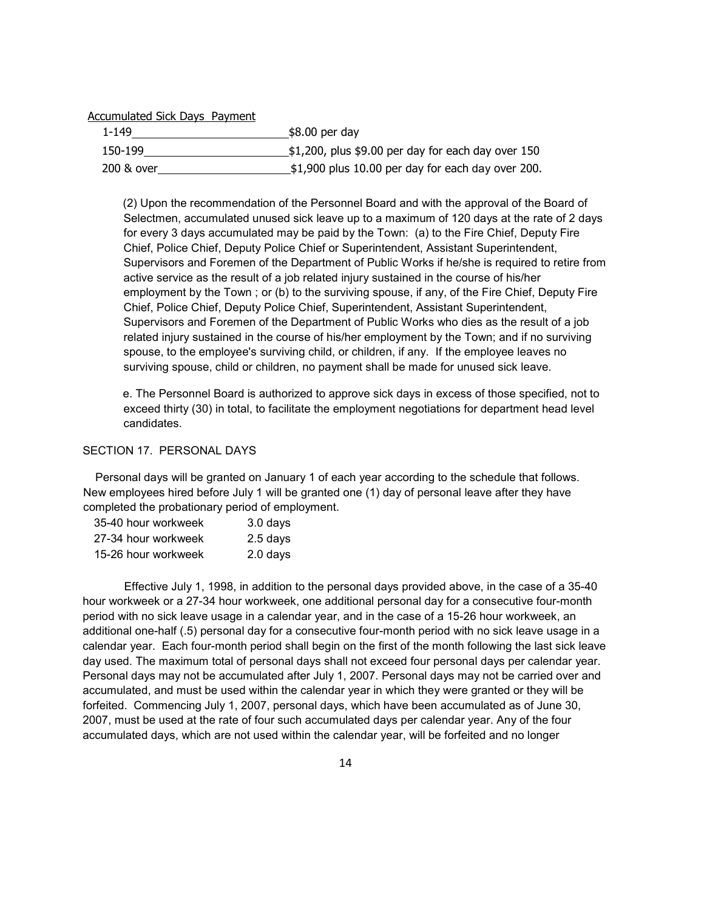#### Accumulated Sick Days Payment

| 1-149      | \$8.00 per day                                         |
|------------|--------------------------------------------------------|
| 150-199    | $$1,200$ , plus \$9.00 per day for each day over 150   |
| 200 & over | $\_$ \$1,900 plus 10.00 per day for each day over 200. |

(2) Upon the recommendation of the Personnel Board and with the approval of the Board of Selectmen, accumulated unused sick leave up to a maximum of 120 days at the rate of 2 days for every 3 days accumulated may be paid by the Town: (a) to the Fire Chief, Deputy Fire Chief, Police Chief, Deputy Police Chief or Superintendent, Assistant Superintendent, Supervisors and Foremen of the Department of Public Works if he/she is required to retire from active service as the result of a job related injury sustained in the course of his/her employment by the Town ; or (b) to the surviving spouse, if any, of the Fire Chief, Deputy Fire Chief, Police Chief, Deputy Police Chief, Superintendent, Assistant Superintendent, Supervisors and Foremen of the Department of Public Works who dies as the result of a job related injury sustained in the course of his/her employment by the Town; and if no surviving spouse, to the employee's surviving child, or children, if any. If the employee leaves no surviving spouse, child or children, no payment shall be made for unused sick leave.

e. The Personnel Board is authorized to approve sick days in excess of those specified, not to exceed thirty (30) in total, to facilitate the employment negotiations for department head level candidates.

## SECTION 17. PERSONAL DAYS

 Personal days will be granted on January 1 of each year according to the schedule that follows. New employees hired before July 1 will be granted one (1) day of personal leave after they have completed the probationary period of employment.

| 35-40 hour workweek | 3.0 days   |
|---------------------|------------|
| 27-34 hour workweek | $2.5$ days |
| 15-26 hour workweek | 2.0 days   |

Effective July 1, 1998, in addition to the personal days provided above, in the case of a 35-40 hour workweek or a 27-34 hour workweek, one additional personal day for a consecutive four-month period with no sick leave usage in a calendar year, and in the case of a 15-26 hour workweek, an additional one-half (.5) personal day for a consecutive four-month period with no sick leave usage in a calendar year. Each four-month period shall begin on the first of the month following the last sick leave day used. The maximum total of personal days shall not exceed four personal days per calendar year. Personal days may not be accumulated after July 1, 2007. Personal days may not be carried over and accumulated, and must be used within the calendar year in which they were granted or they will be forfeited. Commencing July 1, 2007, personal days, which have been accumulated as of June 30, 2007, must be used at the rate of four such accumulated days per calendar year. Any of the four accumulated days, which are not used within the calendar year, will be forfeited and no longer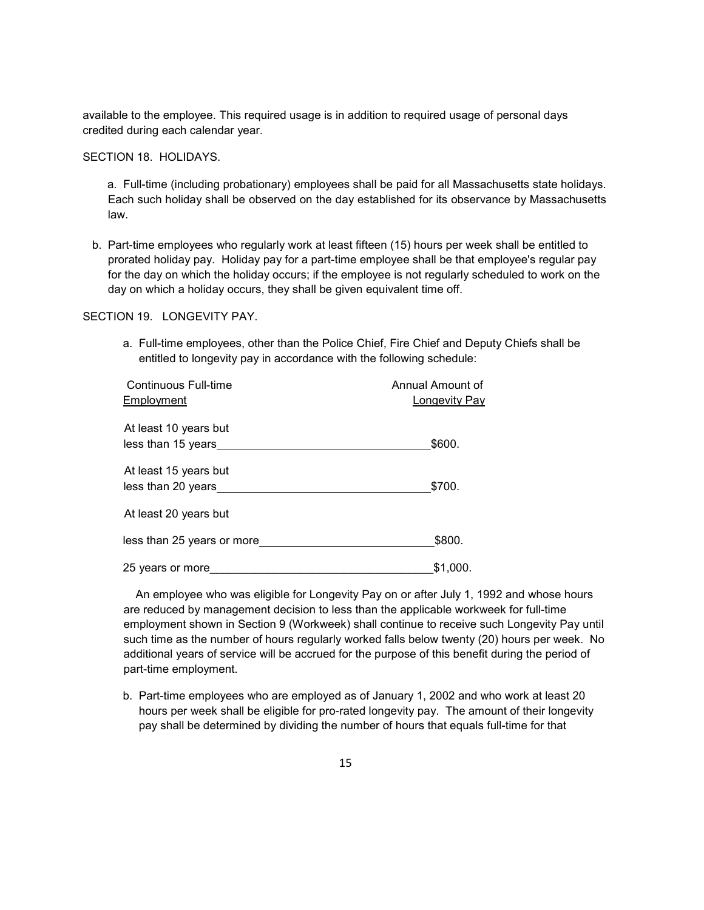available to the employee. This required usage is in addition to required usage of personal days credited during each calendar year.

SECTION 18. HOLIDAYS.

a. Full-time (including probationary) employees shall be paid for all Massachusetts state holidays. Each such holiday shall be observed on the day established for its observance by Massachusetts law.

b. Part-time employees who regularly work at least fifteen (15) hours per week shall be entitled to prorated holiday pay. Holiday pay for a part-time employee shall be that employee's regular pay for the day on which the holiday occurs; if the employee is not regularly scheduled to work on the day on which a holiday occurs, they shall be given equivalent time off.

### SECTION 19. LONGEVITY PAY.

a. Full-time employees, other than the Police Chief, Fire Chief and Deputy Chiefs shall be entitled to longevity pay in accordance with the following schedule:

| Continuous Full-time<br>Employment          | Annual Amount of<br><b>Longevity Pay</b> |
|---------------------------------------------|------------------------------------------|
| At least 10 years but<br>less than 15 years | \$600.                                   |
| At least 15 years but<br>less than 20 years | \$700.                                   |
| At least 20 years but                       |                                          |
| less than 25 years or more                  | \$800.                                   |
| 25 years or more                            | \$1,000.                                 |

 An employee who was eligible for Longevity Pay on or after July 1, 1992 and whose hours are reduced by management decision to less than the applicable workweek for full-time employment shown in Section 9 (Workweek) shall continue to receive such Longevity Pay until such time as the number of hours regularly worked falls below twenty (20) hours per week. No additional years of service will be accrued for the purpose of this benefit during the period of part-time employment.

b. Part-time employees who are employed as of January 1, 2002 and who work at least 20 hours per week shall be eligible for pro-rated longevity pay. The amount of their longevity pay shall be determined by dividing the number of hours that equals full-time for that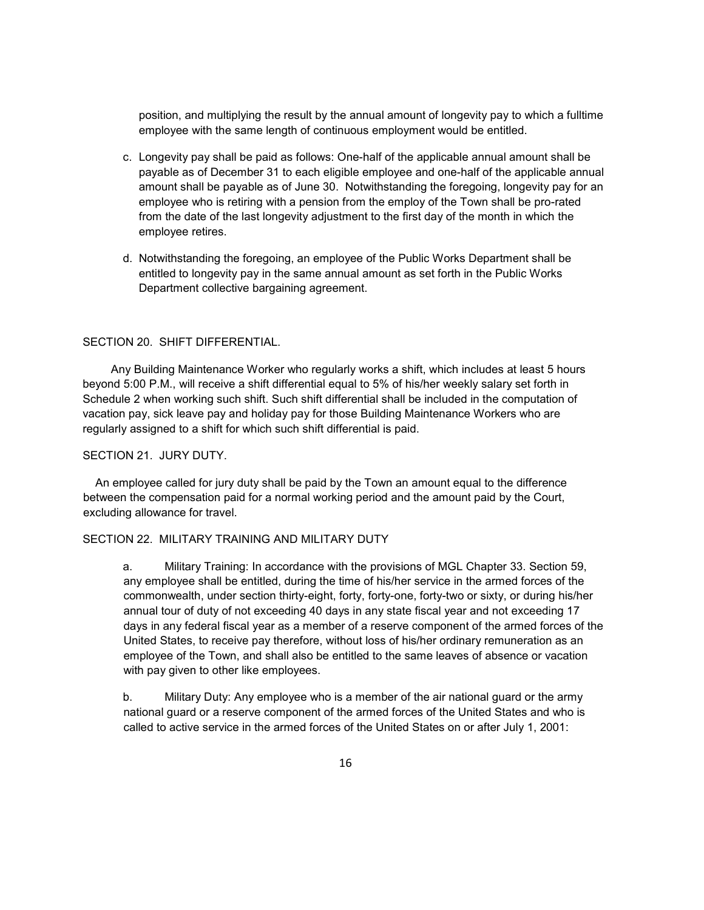position, and multiplying the result by the annual amount of longevity pay to which a fulltime employee with the same length of continuous employment would be entitled.

- c. Longevity pay shall be paid as follows: One-half of the applicable annual amount shall be payable as of December 31 to each eligible employee and one-half of the applicable annual amount shall be payable as of June 30. Notwithstanding the foregoing, longevity pay for an employee who is retiring with a pension from the employ of the Town shall be pro-rated from the date of the last longevity adjustment to the first day of the month in which the employee retires.
- d. Notwithstanding the foregoing, an employee of the Public Works Department shall be entitled to longevity pay in the same annual amount as set forth in the Public Works Department collective bargaining agreement.

### SECTION 20. SHIFT DIFFERENTIAL.

 Any Building Maintenance Worker who regularly works a shift, which includes at least 5 hours beyond 5:00 P.M., will receive a shift differential equal to 5% of his/her weekly salary set forth in Schedule 2 when working such shift. Such shift differential shall be included in the computation of vacation pay, sick leave pay and holiday pay for those Building Maintenance Workers who are regularly assigned to a shift for which such shift differential is paid.

### SECTION 21. JURY DUTY.

 An employee called for jury duty shall be paid by the Town an amount equal to the difference between the compensation paid for a normal working period and the amount paid by the Court, excluding allowance for travel.

#### SECTION 22. MILITARY TRAINING AND MILITARY DUTY

a. Military Training: In accordance with the provisions of MGL Chapter 33. Section 59, any employee shall be entitled, during the time of his/her service in the armed forces of the commonwealth, under section thirty-eight, forty, forty-one, forty-two or sixty, or during his/her annual tour of duty of not exceeding 40 days in any state fiscal year and not exceeding 17 days in any federal fiscal year as a member of a reserve component of the armed forces of the United States, to receive pay therefore, without loss of his/her ordinary remuneration as an employee of the Town, and shall also be entitled to the same leaves of absence or vacation with pay given to other like employees.

b. Military Duty: Any employee who is a member of the air national guard or the army national guard or a reserve component of the armed forces of the United States and who is called to active service in the armed forces of the United States on or after July 1, 2001: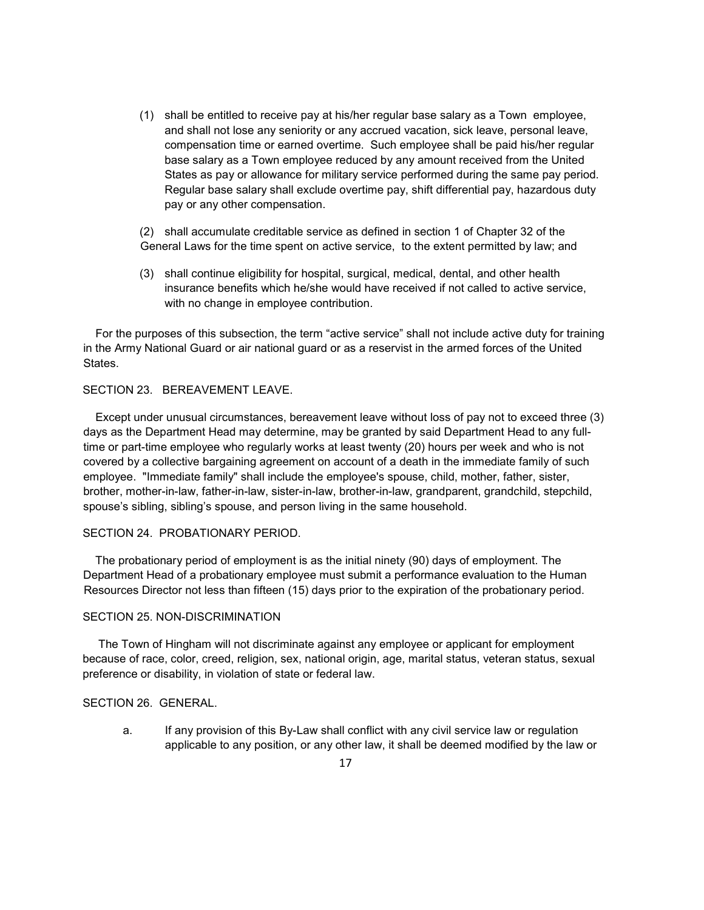- (1) shall be entitled to receive pay at his/her regular base salary as a Town employee, and shall not lose any seniority or any accrued vacation, sick leave, personal leave, compensation time or earned overtime. Such employee shall be paid his/her regular base salary as a Town employee reduced by any amount received from the United States as pay or allowance for military service performed during the same pay period. Regular base salary shall exclude overtime pay, shift differential pay, hazardous duty pay or any other compensation.
- (2) shall accumulate creditable service as defined in section 1 of Chapter 32 of the General Laws for the time spent on active service, to the extent permitted by law; and
- (3) shall continue eligibility for hospital, surgical, medical, dental, and other health insurance benefits which he/she would have received if not called to active service, with no change in employee contribution.

 For the purposes of this subsection, the term "active service" shall not include active duty for training in the Army National Guard or air national guard or as a reservist in the armed forces of the United States.

#### SECTION 23. BEREAVEMENT LEAVE.

 Except under unusual circumstances, bereavement leave without loss of pay not to exceed three (3) days as the Department Head may determine, may be granted by said Department Head to any fulltime or part-time employee who regularly works at least twenty (20) hours per week and who is not covered by a collective bargaining agreement on account of a death in the immediate family of such employee. "Immediate family" shall include the employee's spouse, child, mother, father, sister, brother, mother-in-law, father-in-law, sister-in-law, brother-in-law, grandparent, grandchild, stepchild, spouse's sibling, sibling's spouse, and person living in the same household.

#### SECTION 24. PROBATIONARY PERIOD.

 The probationary period of employment is as the initial ninety (90) days of employment. The Department Head of a probationary employee must submit a performance evaluation to the Human Resources Director not less than fifteen (15) days prior to the expiration of the probationary period.

#### SECTION 25. NON-DISCRIMINATION

The Town of Hingham will not discriminate against any employee or applicant for employment because of race, color, creed, religion, sex, national origin, age, marital status, veteran status, sexual preference or disability, in violation of state or federal law.

#### SECTION 26. GENERAL.

a. If any provision of this By-Law shall conflict with any civil service law or regulation applicable to any position, or any other law, it shall be deemed modified by the law or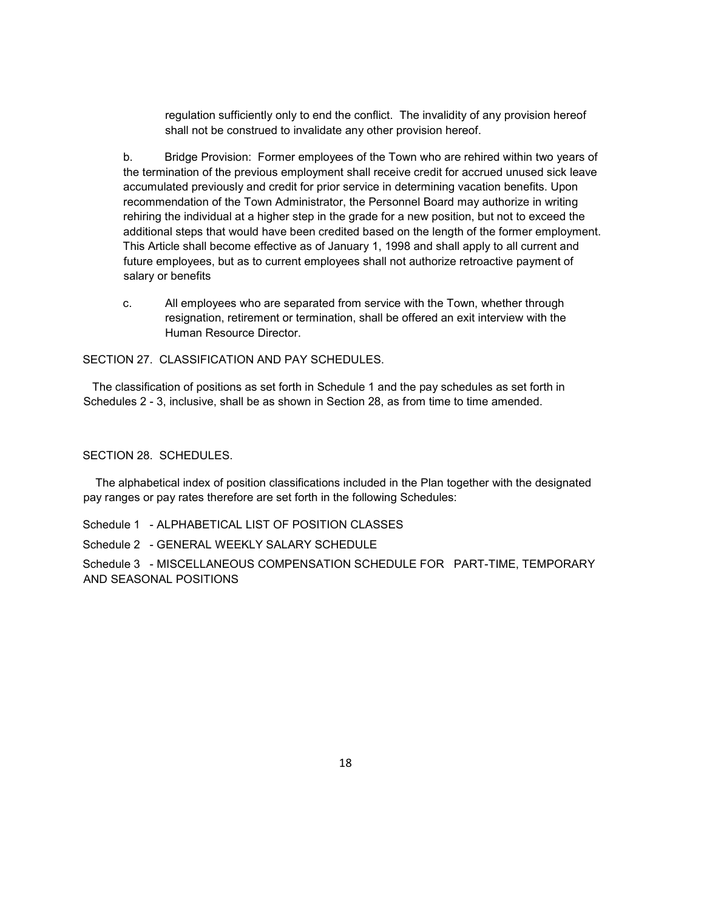regulation sufficiently only to end the conflict. The invalidity of any provision hereof shall not be construed to invalidate any other provision hereof.

b. Bridge Provision: Former employees of the Town who are rehired within two years of the termination of the previous employment shall receive credit for accrued unused sick leave accumulated previously and credit for prior service in determining vacation benefits. Upon recommendation of the Town Administrator, the Personnel Board may authorize in writing rehiring the individual at a higher step in the grade for a new position, but not to exceed the additional steps that would have been credited based on the length of the former employment. This Article shall become effective as of January 1, 1998 and shall apply to all current and future employees, but as to current employees shall not authorize retroactive payment of salary or benefits

c. All employees who are separated from service with the Town, whether through resignation, retirement or termination, shall be offered an exit interview with the Human Resource Director.

SECTION 27. CLASSIFICATION AND PAY SCHEDULES.

 The classification of positions as set forth in Schedule 1 and the pay schedules as set forth in Schedules 2 - 3, inclusive, shall be as shown in Section 28, as from time to time amended.

## SECTION 28. SCHEDULES.

 The alphabetical index of position classifications included in the Plan together with the designated pay ranges or pay rates therefore are set forth in the following Schedules:

Schedule 1 - ALPHABETICAL LIST OF POSITION CLASSES

Schedule 2 - GENERAL WEEKLY SALARY SCHEDULE

Schedule 3 - MISCELLANEOUS COMPENSATION SCHEDULE FOR PART-TIME, TEMPORARY AND SEASONAL POSITIONS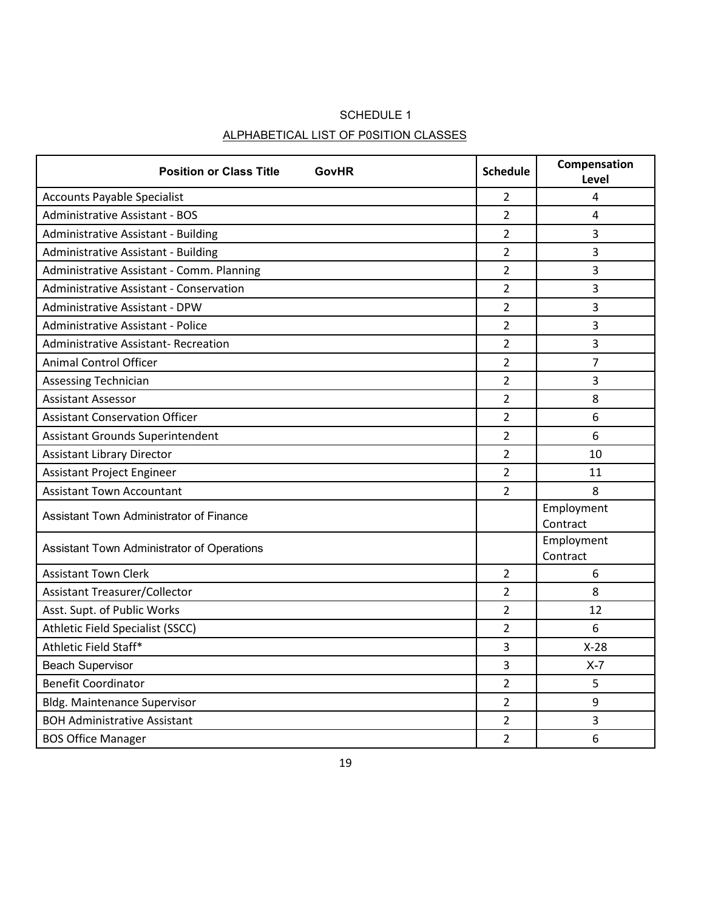# SCHEDULE 1 ALPHABETICAL LIST OF P0SITION CLASSES

| <b>Position or Class Title</b><br><b>GovHR</b> | <b>Schedule</b> | Compensation<br>Level  |
|------------------------------------------------|-----------------|------------------------|
| <b>Accounts Payable Specialist</b>             | $\overline{2}$  | 4                      |
| <b>Administrative Assistant - BOS</b>          | $\overline{2}$  | 4                      |
| Administrative Assistant - Building            | $\overline{2}$  | 3                      |
| Administrative Assistant - Building            | $\overline{2}$  | 3                      |
| Administrative Assistant - Comm. Planning      | $\overline{2}$  | 3                      |
| Administrative Assistant - Conservation        | 2               | 3                      |
| <b>Administrative Assistant - DPW</b>          | $\overline{2}$  | 3                      |
| Administrative Assistant - Police              | 2               | 3                      |
| <b>Administrative Assistant- Recreation</b>    | $\overline{2}$  | 3                      |
| <b>Animal Control Officer</b>                  | $\overline{2}$  | 7                      |
| <b>Assessing Technician</b>                    | $\overline{2}$  | 3                      |
| <b>Assistant Assessor</b>                      | $\overline{2}$  | 8                      |
| <b>Assistant Conservation Officer</b>          | $\overline{2}$  | 6                      |
| Assistant Grounds Superintendent               | $\overline{2}$  | 6                      |
| <b>Assistant Library Director</b>              | $\overline{2}$  | 10                     |
| Assistant Project Engineer                     | $\overline{2}$  | 11                     |
| <b>Assistant Town Accountant</b>               | $\overline{2}$  | 8                      |
| <b>Assistant Town Administrator of Finance</b> |                 | Employment<br>Contract |
| Assistant Town Administrator of Operations     |                 | Employment<br>Contract |
| <b>Assistant Town Clerk</b>                    | $\overline{2}$  | 6                      |
| <b>Assistant Treasurer/Collector</b>           | $\overline{2}$  | 8                      |
| Asst. Supt. of Public Works                    | $\overline{2}$  | 12                     |
| Athletic Field Specialist (SSCC)               | $\overline{2}$  | 6                      |
| Athletic Field Staff*                          | 3               | $X-28$                 |
| <b>Beach Supervisor</b>                        | 3               | $X - 7$                |
| <b>Benefit Coordinator</b>                     | $\overline{2}$  | 5                      |
| <b>Bldg. Maintenance Supervisor</b>            | $\overline{2}$  | 9                      |
| <b>BOH Administrative Assistant</b>            | $\overline{2}$  | 3                      |
| <b>BOS Office Manager</b>                      | $\overline{2}$  | 6                      |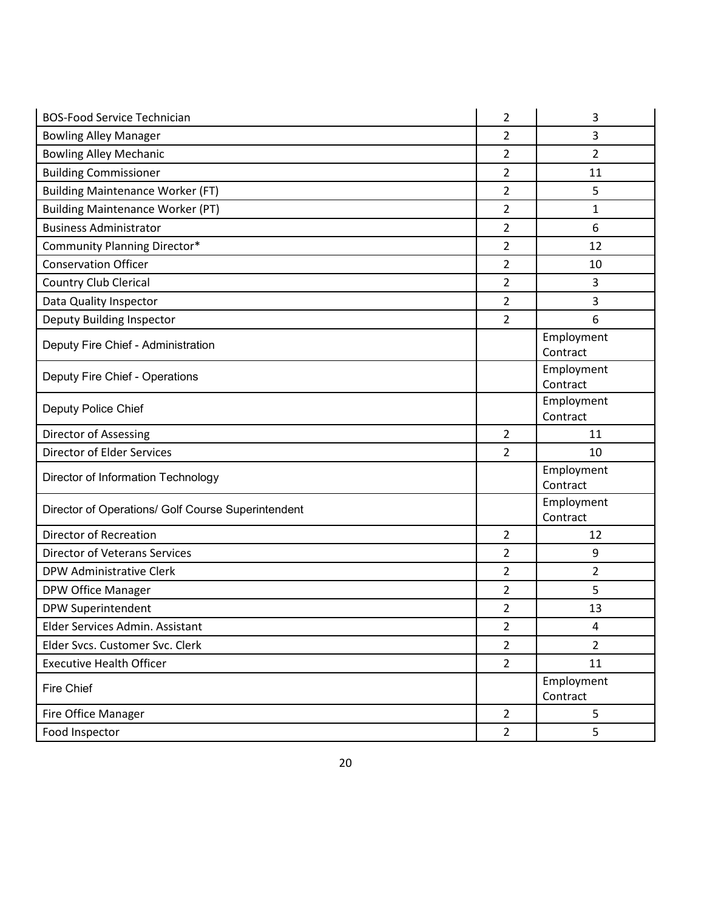| <b>BOS-Food Service Technician</b>                 | $\overline{2}$ | 3                      |
|----------------------------------------------------|----------------|------------------------|
| <b>Bowling Alley Manager</b>                       | $\overline{2}$ | 3                      |
| <b>Bowling Alley Mechanic</b>                      | $\overline{2}$ | 2                      |
| <b>Building Commissioner</b>                       | 2              | 11                     |
| <b>Building Maintenance Worker (FT)</b>            | $\overline{2}$ | 5                      |
| <b>Building Maintenance Worker (PT)</b>            | $\overline{2}$ | 1                      |
| <b>Business Administrator</b>                      | $\overline{2}$ | 6                      |
| Community Planning Director*                       | $\overline{2}$ | 12                     |
| <b>Conservation Officer</b>                        | $\overline{2}$ | 10                     |
| <b>Country Club Clerical</b>                       | 2              | 3                      |
| Data Quality Inspector                             | $\overline{2}$ | 3                      |
| Deputy Building Inspector                          | $\overline{2}$ | 6                      |
| Deputy Fire Chief - Administration                 |                | Employment             |
|                                                    |                | Contract               |
| Deputy Fire Chief - Operations                     |                | Employment<br>Contract |
|                                                    |                | Employment             |
| Deputy Police Chief                                |                | Contract               |
|                                                    |                |                        |
| Director of Assessing                              | $\overline{2}$ | 11                     |
| <b>Director of Elder Services</b>                  | $\overline{2}$ | 10                     |
|                                                    |                | Employment             |
| Director of Information Technology                 |                | Contract               |
| Director of Operations/ Golf Course Superintendent |                | Employment             |
|                                                    |                | Contract               |
| <b>Director of Recreation</b>                      | $\overline{2}$ | 12                     |
| <b>Director of Veterans Services</b>               | $\overline{2}$ | 9                      |
| <b>DPW Administrative Clerk</b>                    | 2              | 2                      |
| DPW Office Manager                                 | $\overline{2}$ | 5                      |
| <b>DPW Superintendent</b>                          | $\overline{2}$ | 13                     |
| Elder Services Admin. Assistant                    | 2              | 4                      |
| Elder Svcs. Customer Svc. Clerk                    | $\overline{2}$ | $\overline{2}$         |
| <b>Executive Health Officer</b>                    | $\overline{2}$ | 11                     |
| Fire Chief                                         |                | Employment             |
| Fire Office Manager                                | $\overline{2}$ | Contract<br>5          |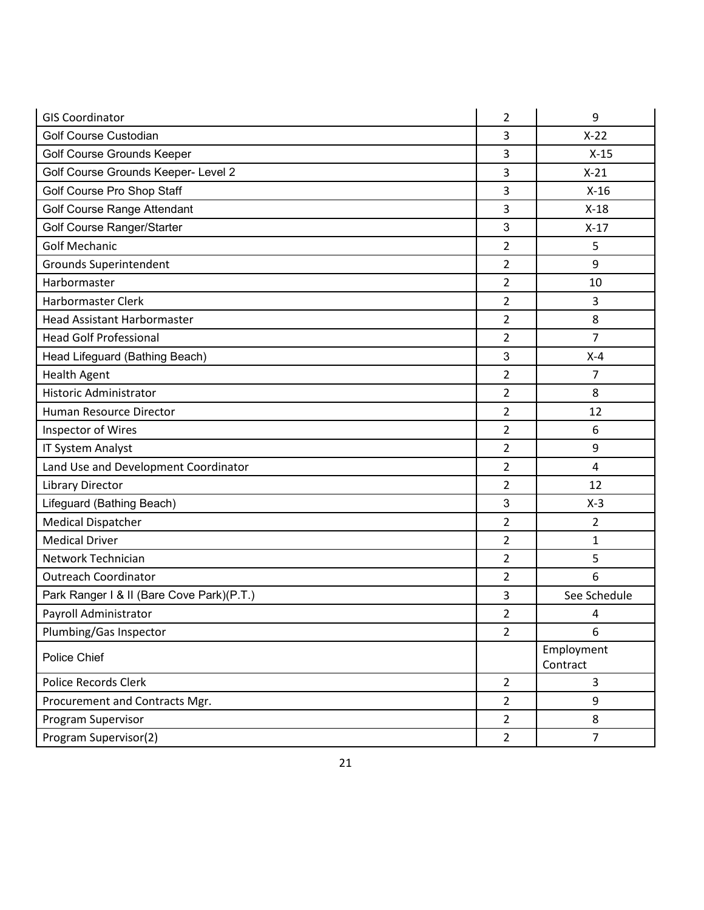| <b>GIS Coordinator</b>                    | 2              | 9                      |
|-------------------------------------------|----------------|------------------------|
| Golf Course Custodian                     | 3              | $X-22$                 |
| Golf Course Grounds Keeper                | 3              | $X-15$                 |
| Golf Course Grounds Keeper- Level 2       | 3              | $X-21$                 |
| Golf Course Pro Shop Staff                | 3              | $X-16$                 |
| Golf Course Range Attendant               | 3              | $X-18$                 |
| Golf Course Ranger/Starter                | 3              | $X-17$                 |
| <b>Golf Mechanic</b>                      | $\overline{2}$ | 5                      |
| <b>Grounds Superintendent</b>             | $\overline{2}$ | 9                      |
| Harbormaster                              | $\overline{2}$ | 10                     |
| <b>Harbormaster Clerk</b>                 | $\overline{2}$ | 3                      |
| <b>Head Assistant Harbormaster</b>        | $\overline{2}$ | 8                      |
| <b>Head Golf Professional</b>             | $\overline{2}$ | 7                      |
| Head Lifeguard (Bathing Beach)            | 3              | $X-4$                  |
| <b>Health Agent</b>                       | $\overline{2}$ | 7                      |
| <b>Historic Administrator</b>             | $\overline{2}$ | 8                      |
| Human Resource Director                   | $\overline{2}$ | 12                     |
| Inspector of Wires                        | $\overline{2}$ | 6                      |
| IT System Analyst                         | $\overline{2}$ | 9                      |
| Land Use and Development Coordinator      | $\overline{2}$ | 4                      |
| <b>Library Director</b>                   | $\overline{2}$ | 12                     |
| Lifeguard (Bathing Beach)                 | 3              | $X-3$                  |
| <b>Medical Dispatcher</b>                 | $\overline{2}$ | 2                      |
| <b>Medical Driver</b>                     | $\overline{2}$ | 1                      |
| Network Technician                        | 2              | 5                      |
| <b>Outreach Coordinator</b>               | $\overline{2}$ | 6                      |
| Park Ranger I & II (Bare Cove Park)(P.T.) | 3              | See Schedule           |
| Payroll Administrator                     | $\overline{2}$ | 4                      |
| Plumbing/Gas Inspector                    | $\overline{2}$ | 6                      |
| Police Chief                              |                | Employment<br>Contract |
| <b>Police Records Clerk</b>               | $\overline{2}$ | 3                      |
| Procurement and Contracts Mgr.            | $\overline{2}$ | 9                      |
| Program Supervisor                        | $\overline{2}$ | 8                      |
| Program Supervisor(2)                     | $\overline{2}$ | $\overline{7}$         |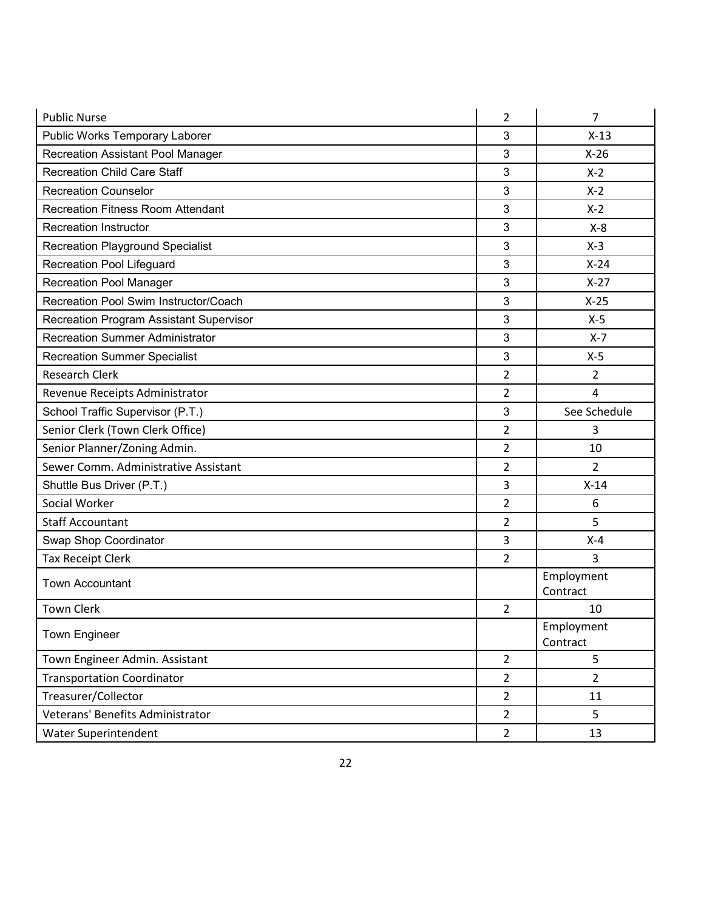| <b>Public Nurse</b>                      | 2              | 7                      |
|------------------------------------------|----------------|------------------------|
| Public Works Temporary Laborer           | 3              | $X-13$                 |
| <b>Recreation Assistant Pool Manager</b> | 3              | $X-26$                 |
| <b>Recreation Child Care Staff</b>       | 3              | $X-2$                  |
| <b>Recreation Counselor</b>              | 3              | $X-2$                  |
| <b>Recreation Fitness Room Attendant</b> | 3              | $X-2$                  |
| <b>Recreation Instructor</b>             | 3              | $X-8$                  |
| <b>Recreation Playground Specialist</b>  | 3              | $X-3$                  |
| Recreation Pool Lifeguard                | 3              | $X-24$                 |
| <b>Recreation Pool Manager</b>           | 3              | $X-27$                 |
| Recreation Pool Swim Instructor/Coach    | $\mathbf{3}$   | $X-25$                 |
| Recreation Program Assistant Supervisor  | 3              | $X-5$                  |
| <b>Recreation Summer Administrator</b>   | 3              | $X - 7$                |
| <b>Recreation Summer Specialist</b>      | $\mathbf{3}$   | $X-5$                  |
| <b>Research Clerk</b>                    | 2              | 2                      |
| Revenue Receipts Administrator           | 2              | 4                      |
| School Traffic Supervisor (P.T.)         | $\mathbf{3}$   | See Schedule           |
| Senior Clerk (Town Clerk Office)         | 2              | 3                      |
| Senior Planner/Zoning Admin.             | 2              | 10                     |
| Sewer Comm. Administrative Assistant     | 2              | 2                      |
| Shuttle Bus Driver (P.T.)                | 3              | $X-14$                 |
| Social Worker                            | $\overline{2}$ | 6                      |
| <b>Staff Accountant</b>                  | 2              | 5                      |
| Swap Shop Coordinator                    | 3              | $X - 4$                |
| <b>Tax Receipt Clerk</b>                 | 2              | 3                      |
| <b>Town Accountant</b>                   |                | Employment<br>Contract |
| <b>Town Clerk</b>                        | 2              | 10                     |
|                                          |                | Employment             |
| <b>Town Engineer</b>                     |                | Contract               |
| Town Engineer Admin. Assistant           | $\overline{2}$ | 5                      |
| <b>Transportation Coordinator</b>        | $\overline{2}$ | $\overline{2}$         |
| Treasurer/Collector                      | $\overline{2}$ | 11                     |
| Veterans' Benefits Administrator         | $\overline{2}$ | 5                      |
| Water Superintendent                     | $\overline{2}$ | 13                     |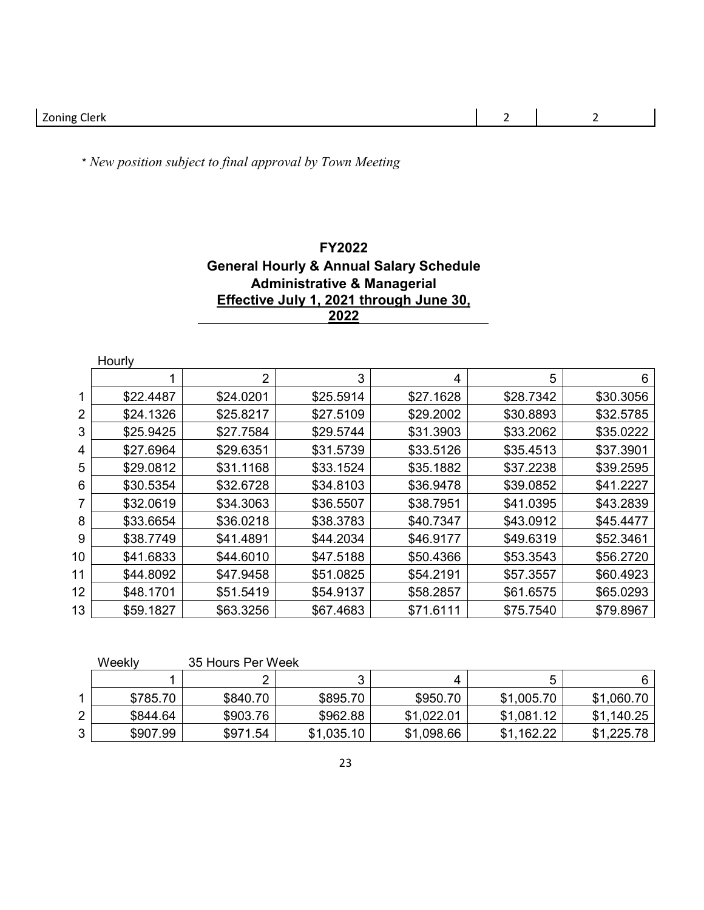\* *New position subject to final approval by Town Meeting*

## **FY2022 General Hourly & Annual Salary Schedule Administrative & Managerial Effective July 1, 2021 through June 30,**

|                | Hourly    |           |           |           |           |           |  |
|----------------|-----------|-----------|-----------|-----------|-----------|-----------|--|
|                |           | 2         | 3         | 4         | 5         | 6         |  |
|                | \$22.4487 | \$24.0201 | \$25.5914 | \$27.1628 | \$28.7342 | \$30.3056 |  |
| $\overline{2}$ | \$24.1326 | \$25.8217 | \$27.5109 | \$29.2002 | \$30.8893 | \$32.5785 |  |
| 3              | \$25.9425 | \$27.7584 | \$29.5744 | \$31.3903 | \$33.2062 | \$35.0222 |  |
| 4              | \$27.6964 | \$29.6351 | \$31.5739 | \$33.5126 | \$35.4513 | \$37.3901 |  |
| 5              | \$29.0812 | \$31.1168 | \$33.1524 | \$35.1882 | \$37.2238 | \$39.2595 |  |
| 6              | \$30.5354 | \$32.6728 | \$34.8103 | \$36.9478 | \$39.0852 | \$41.2227 |  |
|                | \$32.0619 | \$34.3063 | \$36.5507 | \$38.7951 | \$41.0395 | \$43.2839 |  |
| 8              | \$33.6654 | \$36.0218 | \$38.3783 | \$40.7347 | \$43.0912 | \$45.4477 |  |
| 9              | \$38.7749 | \$41.4891 | \$44.2034 | \$46.9177 | \$49.6319 | \$52.3461 |  |
| 10             | \$41.6833 | \$44.6010 | \$47.5188 | \$50.4366 | \$53.3543 | \$56.2720 |  |
| 11             | \$44.8092 | \$47.9458 | \$51.0825 | \$54.2191 | \$57.3557 | \$60.4923 |  |
| 12             | \$48.1701 | \$51.5419 | \$54.9137 | \$58.2857 | \$61.6575 | \$65.0293 |  |
| 13             | \$59.1827 | \$63.3256 | \$67.4683 | \$71.6111 | \$75.7540 | \$79.8967 |  |

|   | Weeklv   | 35 Hours Per Week |            |            |            |            |
|---|----------|-------------------|------------|------------|------------|------------|
|   |          |                   |            |            | ∽          | 6          |
|   | \$785.70 | \$840.70          | \$895.70   | \$950.70   | \$1,005.70 | \$1,060.70 |
|   | \$844.64 | \$903.76          | \$962.88   | \$1.022.01 | \$1,081.12 | \$1,140.25 |
| ◠ | \$907.99 | \$971.54          | \$1,035.10 | \$1,098.66 | \$1,162.22 | \$1,225.78 |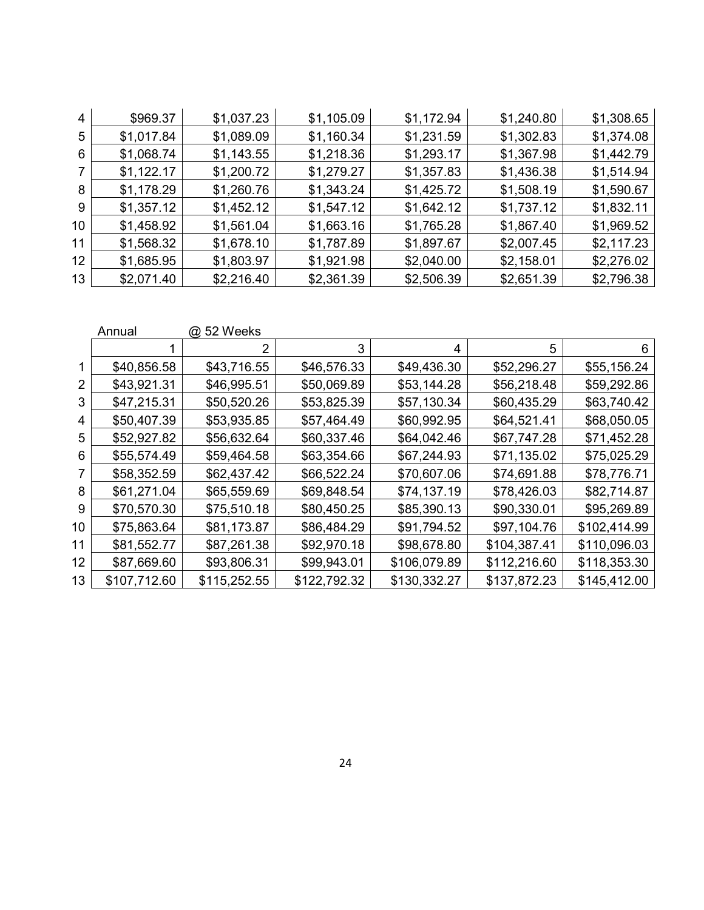| \$969.37   | \$1,037.23 | \$1,105.09 | \$1,172.94 | \$1,240.80 | \$1,308.65 |
|------------|------------|------------|------------|------------|------------|
| \$1,017.84 | \$1,089.09 | \$1,160.34 | \$1,231.59 | \$1,302.83 | \$1,374.08 |
| \$1,068.74 | \$1,143.55 | \$1,218.36 | \$1,293.17 | \$1,367.98 | \$1,442.79 |
| \$1,122.17 | \$1,200.72 | \$1,279.27 | \$1,357.83 | \$1,436.38 | \$1,514.94 |
| \$1,178.29 | \$1,260.76 | \$1,343.24 | \$1,425.72 | \$1,508.19 | \$1,590.67 |
| \$1,357.12 | \$1,452.12 | \$1,547.12 | \$1,642.12 | \$1,737.12 | \$1,832.11 |
| \$1,458.92 | \$1,561.04 | \$1,663.16 | \$1,765.28 | \$1,867.40 | \$1,969.52 |
| \$1,568.32 | \$1,678.10 | \$1,787.89 | \$1,897.67 | \$2,007.45 | \$2,117.23 |
| \$1,685.95 | \$1,803.97 | \$1,921.98 | \$2,040.00 | \$2,158.01 | \$2,276.02 |
| \$2,071.40 | \$2,216.40 | \$2,361.39 | \$2,506.39 | \$2,651.39 | \$2,796.38 |
|            |            |            |            |            |            |

|    | Annual       | @ 52 Weeks   |              |              |              |              |
|----|--------------|--------------|--------------|--------------|--------------|--------------|
|    |              | 2            | 3            | 4            | 5            | 6            |
|    | \$40,856.58  | \$43,716.55  | \$46,576.33  | \$49,436.30  | \$52,296.27  | \$55,156.24  |
| 2  | \$43,921.31  | \$46,995.51  | \$50,069.89  | \$53,144.28  | \$56,218.48  | \$59,292.86  |
| 3  | \$47,215.31  | \$50,520.26  | \$53,825.39  | \$57,130.34  | \$60,435.29  | \$63,740.42  |
| 4  | \$50,407.39  | \$53,935.85  | \$57,464.49  | \$60,992.95  | \$64,521.41  | \$68,050.05  |
| 5  | \$52,927.82  | \$56,632.64  | \$60,337.46  | \$64,042.46  | \$67,747.28  | \$71,452.28  |
| 6  | \$55,574.49  | \$59,464.58  | \$63,354.66  | \$67,244.93  | \$71,135.02  | \$75,025.29  |
|    | \$58,352.59  | \$62,437.42  | \$66,522.24  | \$70,607.06  | \$74,691.88  | \$78,776.71  |
| 8  | \$61,271.04  | \$65,559.69  | \$69,848.54  | \$74,137.19  | \$78,426.03  | \$82,714.87  |
| 9  | \$70,570.30  | \$75,510.18  | \$80,450.25  | \$85,390.13  | \$90,330.01  | \$95,269.89  |
| 10 | \$75,863.64  | \$81,173.87  | \$86,484.29  | \$91,794.52  | \$97,104.76  | \$102,414.99 |
| 11 | \$81,552.77  | \$87,261.38  | \$92,970.18  | \$98,678.80  | \$104,387.41 | \$110,096.03 |
| 12 | \$87,669.60  | \$93,806.31  | \$99,943.01  | \$106,079.89 | \$112,216.60 | \$118,353.30 |
| 13 | \$107,712.60 | \$115,252.55 | \$122,792.32 | \$130,332.27 | \$137,872.23 | \$145,412.00 |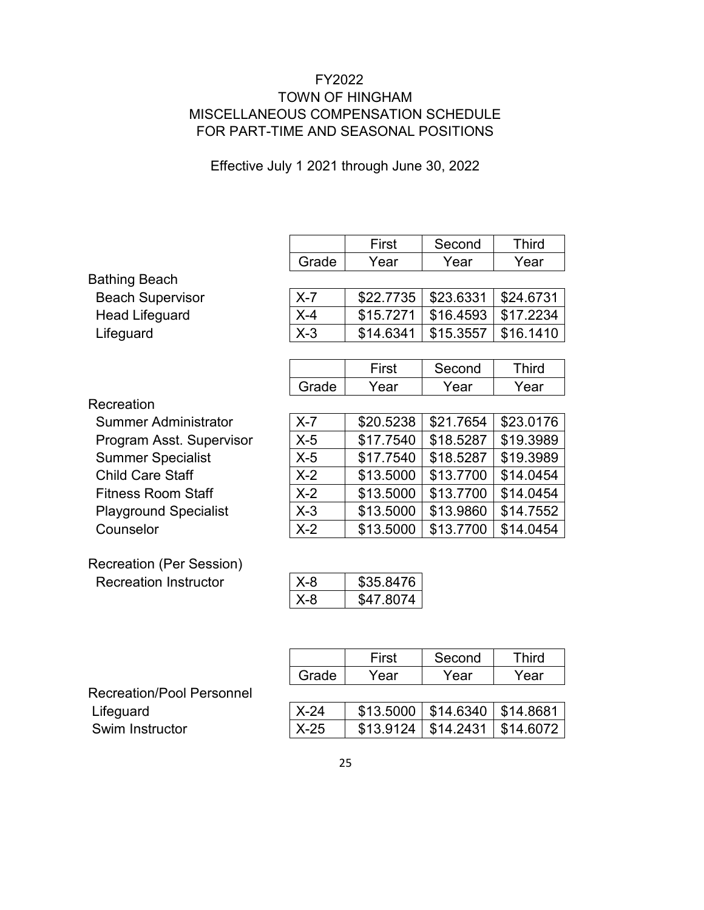## FY2022 TOWN OF HINGHAM MISCELLANEOUS COMPENSATION SCHEDULE FOR PART-TIME AND SEASONAL POSITIONS

Effective July 1 2021 through June 30, 2022

|                                  |         | First     | Second    | <b>Third</b> |
|----------------------------------|---------|-----------|-----------|--------------|
|                                  | Grade   | Year      | Year      | Year         |
| <b>Bathing Beach</b>             |         |           |           |              |
| <b>Beach Supervisor</b>          | $X - 7$ | \$22.7735 | \$23.6331 | \$24.6731    |
| <b>Head Lifeguard</b>            | $X-4$   | \$15.7271 | \$16.4593 | \$17.2234    |
| Lifeguard                        | $X-3$   | \$14.6341 | \$15.3557 | \$16.1410    |
|                                  |         |           |           |              |
|                                  |         | First     | Second    | <b>Third</b> |
|                                  | Grade   | Year      | Year      | Year         |
| Recreation                       |         |           |           |              |
| <b>Summer Administrator</b>      | $X - 7$ | \$20.5238 | \$21.7654 | \$23.0176    |
| Program Asst. Supervisor         | $X-5$   | \$17.7540 | \$18.5287 | \$19.3989    |
| <b>Summer Specialist</b>         | $X-5$   | \$17.7540 | \$18.5287 | \$19.3989    |
| <b>Child Care Staff</b>          | $X-2$   | \$13.5000 | \$13.7700 | \$14.0454    |
| <b>Fitness Room Staff</b>        | $X-2$   | \$13.5000 | \$13.7700 | \$14.0454    |
| <b>Playground Specialist</b>     | $X-3$   | \$13.5000 | \$13.9860 | \$14.7552    |
| Counselor                        | $X-2$   | \$13.5000 | \$13.7700 | \$14.0454    |
| <b>Recreation (Per Session)</b>  |         |           |           |              |
| <b>Recreation Instructor</b>     | $X-8$   | \$35.8476 |           |              |
|                                  | $X-8$   | \$47.8074 |           |              |
|                                  |         |           |           |              |
|                                  |         |           |           |              |
|                                  |         | First     | Second    | <b>Third</b> |
|                                  | Grade   | Year      | Year      | Year         |
| <b>Recreation/Pool Personnel</b> |         |           |           |              |
| Lifeguard                        | $X-24$  | \$13.5000 | \$14.6340 | \$14.8681    |

Swim Instructor **X-25** \$13.9124 \$14.2431 \$14.6072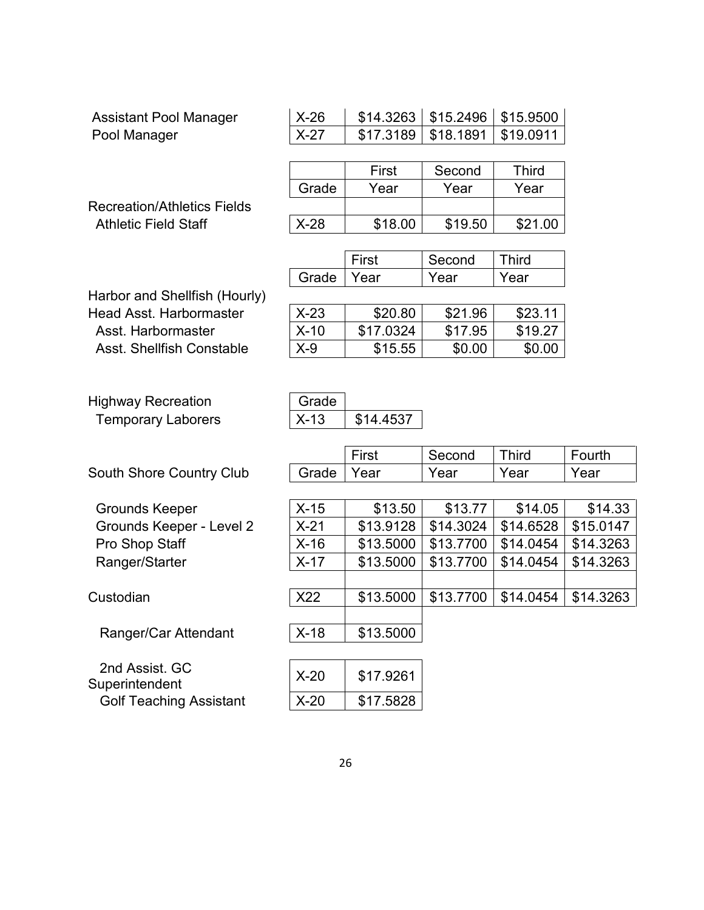| <b>Assistant Pool Manager</b>      | $X-26$ | \$14.3263 | \$15.2496 | \$15.9500    |           |
|------------------------------------|--------|-----------|-----------|--------------|-----------|
| Pool Manager                       | $X-27$ | \$17.3189 | \$18.1891 | \$19.0911    |           |
|                                    |        |           |           |              |           |
|                                    |        | First     | Second    | <b>Third</b> |           |
|                                    | Grade  | Year      | Year      | Year         |           |
| <b>Recreation/Athletics Fields</b> |        |           |           |              |           |
| <b>Athletic Field Staff</b>        | $X-28$ | \$18.00   | \$19.50   | \$21.00      |           |
|                                    |        |           |           |              |           |
|                                    |        | First     | Second    | <b>Third</b> |           |
|                                    | Grade  | Year      | Year      | Year         |           |
| Harbor and Shellfish (Hourly)      |        |           |           |              |           |
| <b>Head Asst. Harbormaster</b>     | $X-23$ | \$20.80   | \$21.96   | \$23.11      |           |
| Asst. Harbormaster                 | $X-10$ | \$17.0324 | \$17.95   | \$19.27      |           |
| <b>Asst. Shellfish Constable</b>   | $X-9$  | \$15.55   | \$0.00    | \$0.00       |           |
|                                    |        |           |           |              |           |
|                                    |        |           |           |              |           |
| <b>Highway Recreation</b>          | Grade  |           |           |              |           |
| <b>Temporary Laborers</b>          | $X-13$ | \$14.4537 |           |              |           |
|                                    |        |           |           |              |           |
|                                    |        | First     | Second    | <b>Third</b> | Fourth    |
| South Shore Country Club           | Grade  | Year      | Year      | Year         | Year      |
|                                    |        |           |           |              |           |
| <b>Grounds Keeper</b>              | $X-15$ | \$13.50   | \$13.77   | \$14.05      | \$14.33   |
| Grounds Keeper - Level 2           | $X-21$ | \$13.9128 | \$14.3024 | \$14.6528    | \$15.0147 |
| Pro Shop Staff                     | $X-16$ | \$13.5000 | \$13.7700 | \$14.0454    | \$14.3263 |
| Ranger/Starter                     | $X-17$ | \$13.5000 | \$13.7700 | \$14.0454    | \$14.3263 |
|                                    |        |           |           |              |           |
| Custodian                          | X22    | \$13.5000 | \$13.7700 | \$14.0454    | \$14.3263 |

Ranger/Car Attendant X-18 \$13.5000

 2nd Assist. GC 2nd Assist. GC<br>Superintendent X-20 \$17.9261<br>Golf Teaching Assistant X-20 \$17.5828 Golf Teaching Assistant